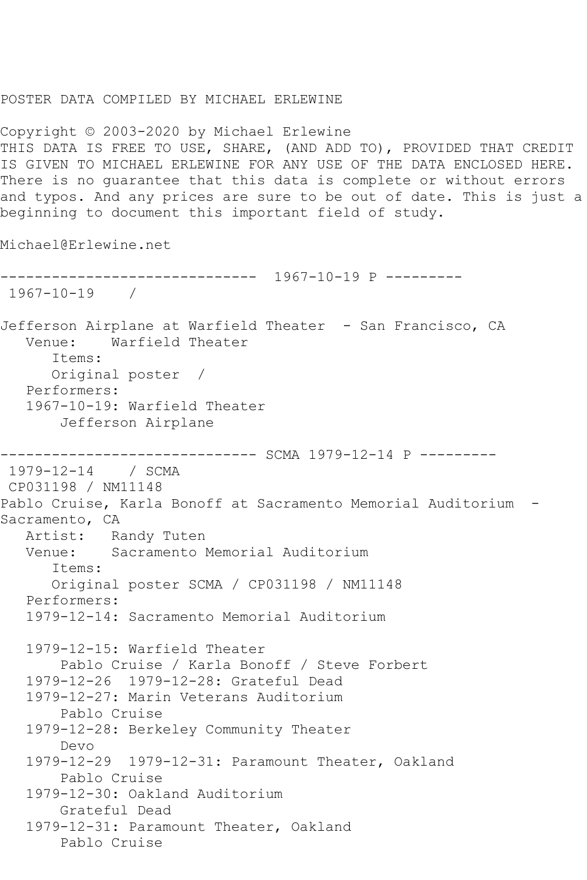## POSTER DATA COMPILED BY MICHAEL ERLEWINE

Copyright © 2003-2020 by Michael Erlewine THIS DATA IS FREE TO USE, SHARE, (AND ADD TO), PROVIDED THAT CREDIT IS GIVEN TO MICHAEL ERLEWINE FOR ANY USE OF THE DATA ENCLOSED HERE. There is no guarantee that this data is complete or without errors and typos. And any prices are sure to be out of date. This is just a beginning to document this important field of study.

Michael@Erlewine.net

```
------------------------------ 1967-10-19 P ---------
1967-10-19 / 
Jefferson Airplane at Warfield Theater - San Francisco, CA
   Venue: Warfield Theater
       Items:
      Original poster / 
   Performers:
   1967-10-19: Warfield Theater
        Jefferson Airplane
      ------------------------------ SCMA 1979-12-14 P ---------
1979-12-14 / SCMA 
CP031198 / NM11148
Pablo Cruise, Karla Bonoff at Sacramento Memorial Auditorium -
Sacramento, CA
   Artist: Randy Tuten
   Venue: Sacramento Memorial Auditorium
       Items:
      Original poster SCMA / CP031198 / NM11148
   Performers:
   1979-12-14: Sacramento Memorial Auditorium
   1979-12-15: Warfield Theater
        Pablo Cruise / Karla Bonoff / Steve Forbert
   1979-12-26 1979-12-28: Grateful Dead
   1979-12-27: Marin Veterans Auditorium
        Pablo Cruise
   1979-12-28: Berkeley Community Theater
        Devo
   1979-12-29 1979-12-31: Paramount Theater, Oakland
        Pablo Cruise
   1979-12-30: Oakland Auditorium
        Grateful Dead
   1979-12-31: Paramount Theater, Oakland
        Pablo Cruise
```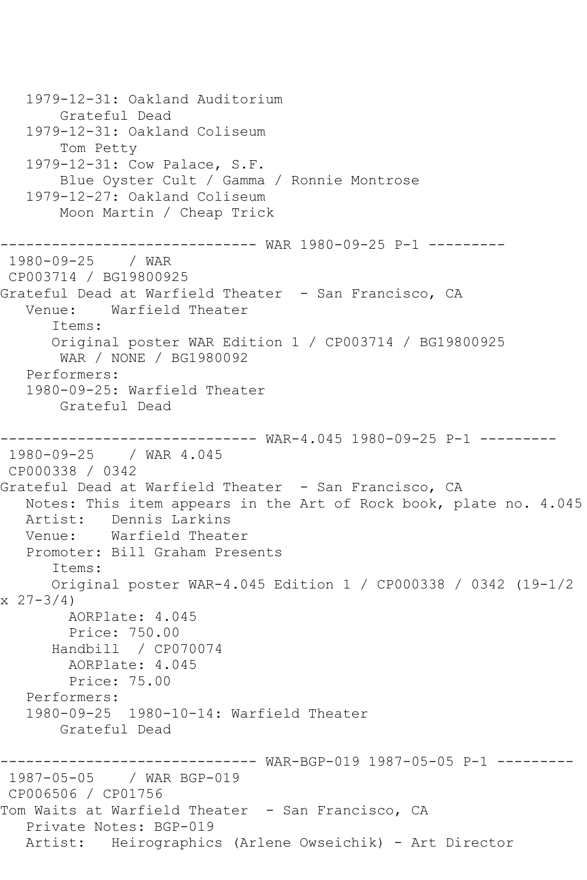1979-12-31: Oakland Auditorium Grateful Dead 1979-12-31: Oakland Coliseum Tom Petty 1979-12-31: Cow Palace, S.F. Blue Oyster Cult / Gamma / Ronnie Montrose 1979-12-27: Oakland Coliseum Moon Martin / Cheap Trick ------------------------------ WAR 1980-09-25 P-1 --------- 1980-09-25 / WAR CP003714 / BG19800925 Grateful Dead at Warfield Theater - San Francisco, CA Venue: Warfield Theater Items: Original poster WAR Edition 1 / CP003714 / BG19800925 WAR / NONE / BG1980092 Performers: 1980-09-25: Warfield Theater Grateful Dead ----- WAR-4.045 1980-09-25 P-1 ---------1980-09-25 / WAR 4.045 CP000338 / 0342 Grateful Dead at Warfield Theater - San Francisco, CA Notes: This item appears in the Art of Rock book, plate no. 4.045 Artist: Dennis Larkins Venue: Warfield Theater Promoter: Bill Graham Presents Items: Original poster WAR-4.045 Edition 1 / CP000338 / 0342 (19-1/2 x 27-3/4) AORPlate: 4.045 Price: 750.00 Handbill / CP070074 AORPlate: 4.045 Price: 75.00 Performers: 1980-09-25 1980-10-14: Warfield Theater Grateful Dead ------------------------------ WAR-BGP-019 1987-05-05 P-1 --------- 1987-05-05 / WAR BGP-019 CP006506 / CP01756 Tom Waits at Warfield Theater - San Francisco, CA Private Notes: BGP-019 Artist: Heirographics (Arlene Owseichik) - Art Director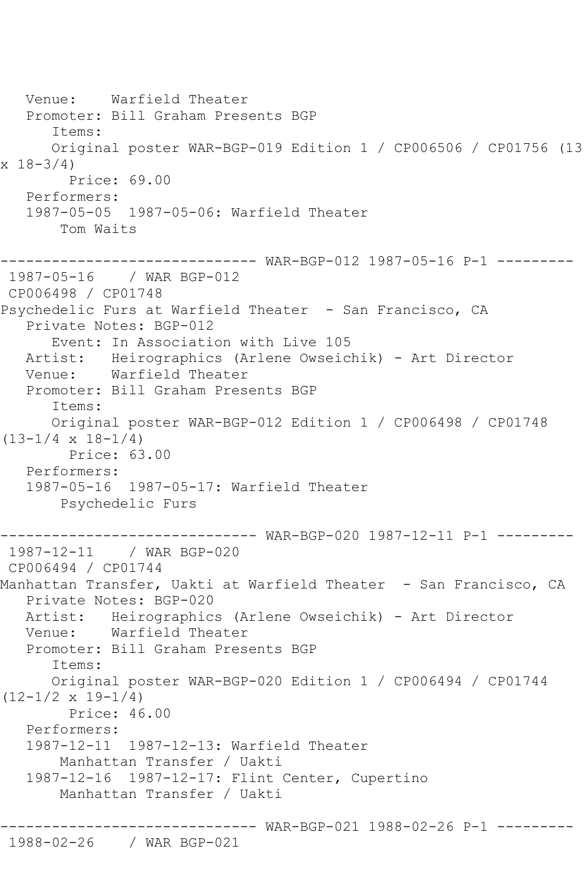Venue: Warfield Theater Promoter: Bill Graham Presents BGP Items: Original poster WAR-BGP-019 Edition 1 / CP006506 / CP01756 (13  $x \ 18 - 3/4$  Price: 69.00 Performers: 1987-05-05 1987-05-06: Warfield Theater Tom Waits ------------------------------ WAR-BGP-012 1987-05-16 P-1 --------- 1987-05-16 / WAR BGP-012 CP006498 / CP01748 Psychedelic Furs at Warfield Theater - San Francisco, CA Private Notes: BGP-012 Event: In Association with Live 105 Artist: Heirographics (Arlene Owseichik) - Art Director<br>Venue: Warfield Theater Warfield Theater Promoter: Bill Graham Presents BGP Items: Original poster WAR-BGP-012 Edition 1 / CP006498 / CP01748  $(13-1/4 \times 18-1/4)$  Price: 63.00 Performers: 1987-05-16 1987-05-17: Warfield Theater Psychedelic Furs ------------------------------ WAR-BGP-020 1987-12-11 P-1 --------- 1987-12-11 / WAR BGP-020 CP006494 / CP01744 Manhattan Transfer, Uakti at Warfield Theater - San Francisco, CA Private Notes: BGP-020 Artist: Heirographics (Arlene Owseichik) - Art Director Warfield Theater Promoter: Bill Graham Presents BGP Items: Original poster WAR-BGP-020 Edition 1 / CP006494 / CP01744  $(12-1/2 \times 19-1/4)$  Price: 46.00 Performers: 1987-12-11 1987-12-13: Warfield Theater Manhattan Transfer / Uakti 1987-12-16 1987-12-17: Flint Center, Cupertino Manhattan Transfer / Uakti ------------------------------ WAR-BGP-021 1988-02-26 P-1 ---------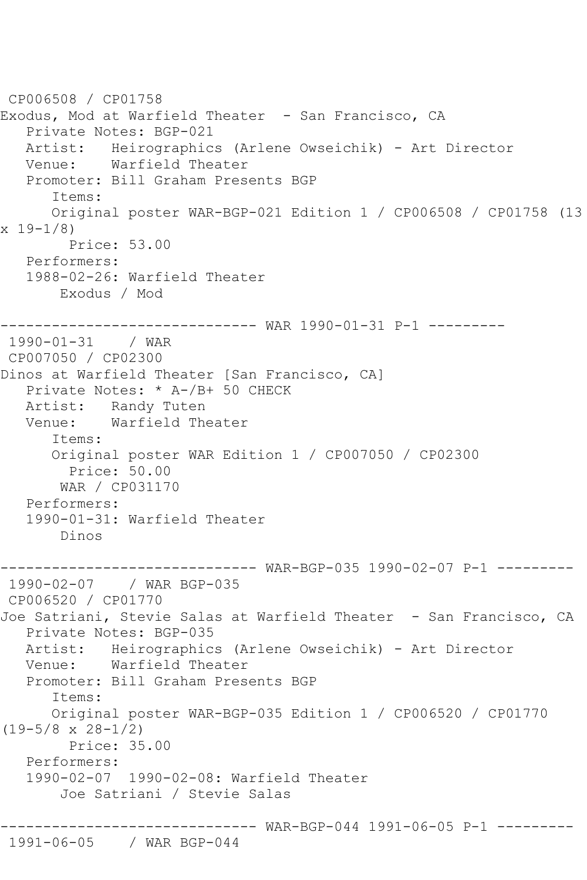```
CP006508 / CP01758
Exodus, Mod at Warfield Theater - San Francisco, CA
    Private Notes: BGP-021
  Artist: Heirographics (Arlene Owseichik) - Art Director<br>Venue: Warfield Theater
            Warfield Theater
   Promoter: Bill Graham Presents BGP
       Items:
       Original poster WAR-BGP-021 Edition 1 / CP006508 / CP01758 (13 
x 19 - 1/8 Price: 53.00
   Performers:
    1988-02-26: Warfield Theater
        Exodus / Mod
          ------------------------------ WAR 1990-01-31 P-1 ---------
1990-01-31 / WAR 
CP007050 / CP02300
Dinos at Warfield Theater [San Francisco, CA]
    Private Notes: * A-/B+ 50 CHECK
   Artist: Randy Tuten
   Venue: Warfield Theater
       Items:
       Original poster WAR Edition 1 / CP007050 / CP02300
         Price: 50.00
        WAR / CP031170
   Performers:
    1990-01-31: Warfield Theater
        Dinos
------------------------------ WAR-BGP-035 1990-02-07 P-1 ---------
               1990-02-07 / WAR BGP-035
CP006520 / CP01770
Joe Satriani, Stevie Salas at Warfield Theater - San Francisco, CA
   Private Notes: BGP-035
   Artist: Heirographics (Arlene Owseichik) - Art Director
   Venue: Warfield Theater
   Promoter: Bill Graham Presents BGP
       Items:
       Original poster WAR-BGP-035 Edition 1 / CP006520 / CP01770 
(19-5/8 \times 28-1/2) Price: 35.00
    Performers:
    1990-02-07 1990-02-08: Warfield Theater
        Joe Satriani / Stevie Salas
                    ------------------------------ WAR-BGP-044 1991-06-05 P-1 ---------
```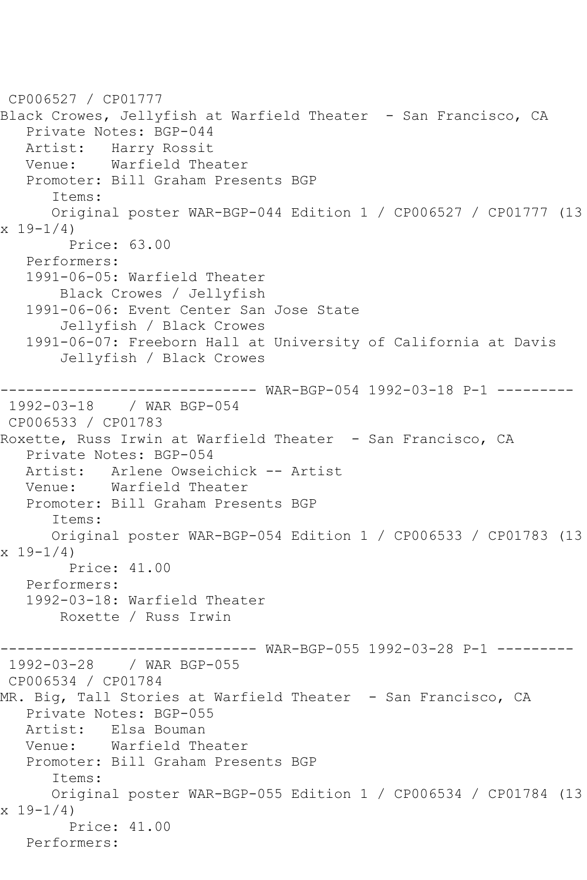CP006527 / CP01777 Black Crowes, Jellyfish at Warfield Theater - San Francisco, CA Private Notes: BGP-044 Artist: Harry Rossit<br>Venue: Warfield The Warfield Theater Promoter: Bill Graham Presents BGP Items: Original poster WAR-BGP-044 Edition 1 / CP006527 / CP01777 (13  $x 19-1/4$  Price: 63.00 Performers: 1991-06-05: Warfield Theater Black Crowes / Jellyfish 1991-06-06: Event Center San Jose State Jellyfish / Black Crowes 1991-06-07: Freeborn Hall at University of California at Davis Jellyfish / Black Crowes ------------------------------ WAR-BGP-054 1992-03-18 P-1 --------- 1992-03-18 / WAR BGP-054 CP006533 / CP01783 Roxette, Russ Irwin at Warfield Theater - San Francisco, CA Private Notes: BGP-054 Artist: Arlene Owseichick -- Artist Venue: Warfield Theater Promoter: Bill Graham Presents BGP Items: Original poster WAR-BGP-054 Edition 1 / CP006533 / CP01783 (13 x 19-1/4) Price: 41.00 Performers: 1992-03-18: Warfield Theater Roxette / Russ Irwin ------ WAR-BGP-055 1992-03-28 P-1 ---------1992-03-28 / WAR BGP-055 CP006534 / CP01784 MR. Big, Tall Stories at Warfield Theater - San Francisco, CA Private Notes: BGP-055 Artist: Elsa Bouman Venue: Warfield Theater Promoter: Bill Graham Presents BGP Items: Original poster WAR-BGP-055 Edition 1 / CP006534 / CP01784 (13 x 19-1/4) Price: 41.00 Performers: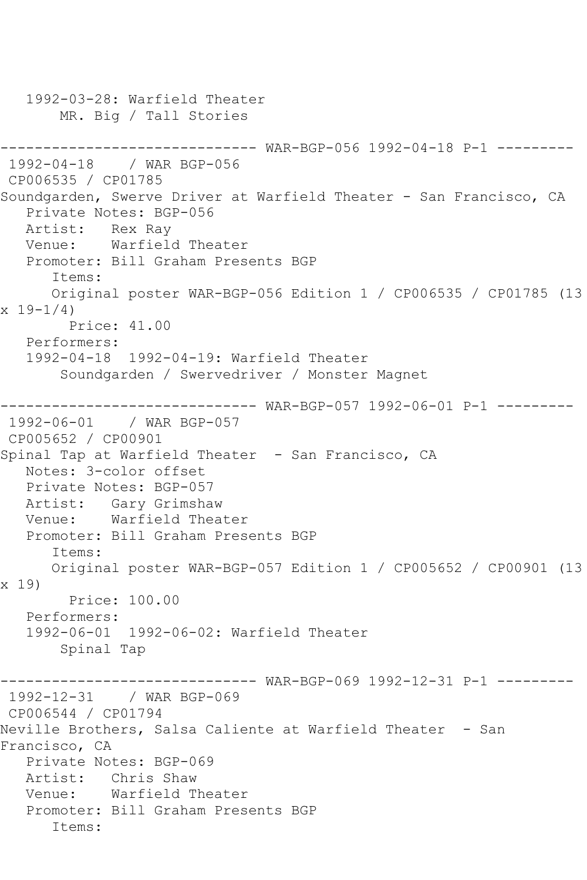```
 1992-03-28: Warfield Theater
       MR. Big / Tall Stories
------------------------------ WAR-BGP-056 1992-04-18 P-1 ---------
1992-04-18 / WAR BGP-056
CP006535 / CP01785
Soundgarden, Swerve Driver at Warfield Theater - San Francisco, CA
   Private Notes: BGP-056
   Artist: Rex Ray
   Venue: Warfield Theater
   Promoter: Bill Graham Presents BGP
      Items:
      Original poster WAR-BGP-056 Edition 1 / CP006535 / CP01785 (13 
x 19 - 1/4 Price: 41.00
   Performers:
   1992-04-18 1992-04-19: Warfield Theater
       Soundgarden / Swervedriver / Monster Magnet
------------------------------ WAR-BGP-057 1992-06-01 P-1 ---------
1992-06-01 / WAR BGP-057
CP005652 / CP00901
Spinal Tap at Warfield Theater - San Francisco, CA
   Notes: 3-color offset
   Private Notes: BGP-057
   Artist: Gary Grimshaw
   Venue: Warfield Theater
   Promoter: Bill Graham Presents BGP
      Items:
      Original poster WAR-BGP-057 Edition 1 / CP005652 / CP00901 (13 
x 19)
        Price: 100.00
   Performers:
   1992-06-01 1992-06-02: Warfield Theater
       Spinal Tap
------------------------------ WAR-BGP-069 1992-12-31 P-1 ---------
1992-12-31 / WAR BGP-069
CP006544 / CP01794
Neville Brothers, Salsa Caliente at Warfield Theater - San 
Francisco, CA
   Private Notes: BGP-069
   Artist: Chris Shaw
   Venue: Warfield Theater
   Promoter: Bill Graham Presents BGP
      Items:
```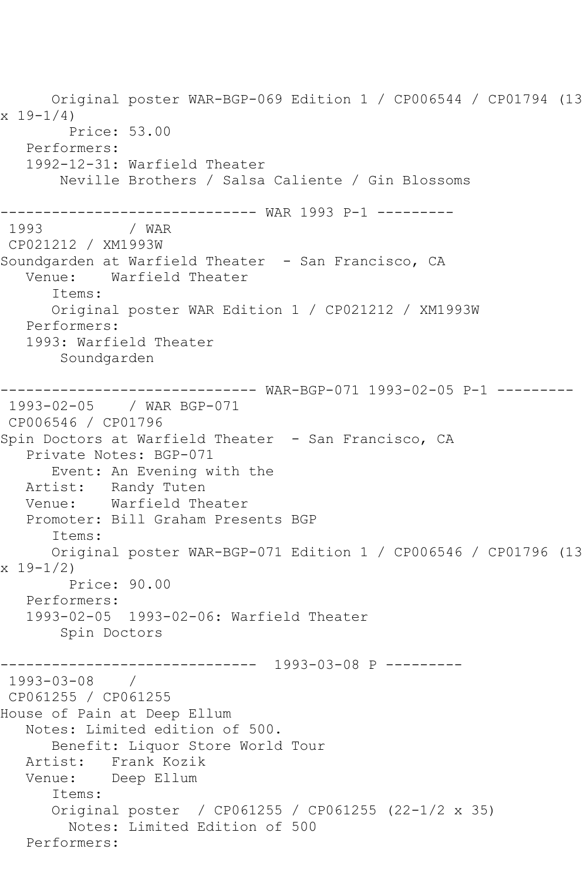Original poster WAR-BGP-069 Edition 1 / CP006544 / CP01794 (13  $x 19 - 1/4$  Price: 53.00 Performers: 1992-12-31: Warfield Theater Neville Brothers / Salsa Caliente / Gin Blossoms ------------------------------ WAR 1993 P-1 --------- 1993 / WAR CP021212 / XM1993W Soundgarden at Warfield Theater - San Francisco, CA Venue: Warfield Theater Items: Original poster WAR Edition 1 / CP021212 / XM1993W Performers: 1993: Warfield Theater Soundgarden ------------------------------ WAR-BGP-071 1993-02-05 P-1 --------- 1993-02-05 / WAR BGP-071 CP006546 / CP01796 Spin Doctors at Warfield Theater - San Francisco, CA Private Notes: BGP-071 Event: An Evening with the Artist: Randy Tuten<br>Venue: Warfield The Warfield Theater Promoter: Bill Graham Presents BGP Items: Original poster WAR-BGP-071 Edition 1 / CP006546 / CP01796 (13 x 19-1/2) Price: 90.00 Performers: 1993-02-05 1993-02-06: Warfield Theater Spin Doctors ------------------------------ 1993-03-08 P --------- 1993-03-08 / CP061255 / CP061255 House of Pain at Deep Ellum Notes: Limited edition of 500. Benefit: Liquor Store World Tour Artist: Frank Kozik Venue: Deep Ellum Items: Original poster / CP061255 / CP061255 (22-1/2 x 35) Notes: Limited Edition of 500 Performers: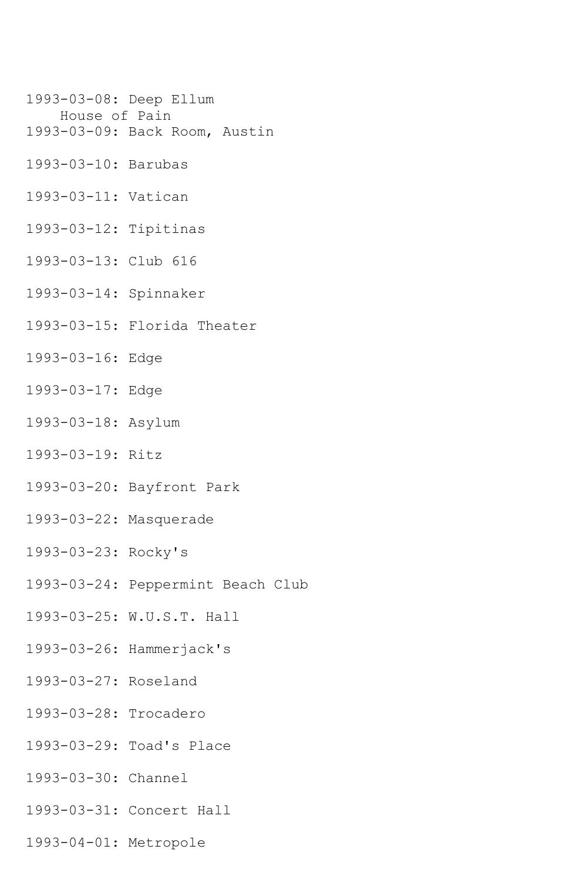- 1993-03-08: Deep Ellum
- House of Pain
- 1993-03-09: Back Room, Austin
- 1993-03-10: Barubas
- 1993-03-11: Vatican
- 1993-03-12: Tipitinas
- 1993-03-13: Club 616
- 1993-03-14: Spinnaker
- 1993-03-15: Florida Theater
- 1993-03-16: Edge
- 1993-03-17: Edge
- 1993-03-18: Asylum
- 1993-03-19: Ritz
- 1993-03-20: Bayfront Park
- 1993-03-22: Masquerade
- 1993-03-23: Rocky's
- 1993-03-24: Peppermint Beach Club
- 1993-03-25: W.U.S.T. Hall
- 1993-03-26: Hammerjack's
- 1993-03-27: Roseland
- 1993-03-28: Trocadero
- 1993-03-29: Toad's Place
- 1993-03-30: Channel
- 1993-03-31: Concert Hall
- 1993-04-01: Metropole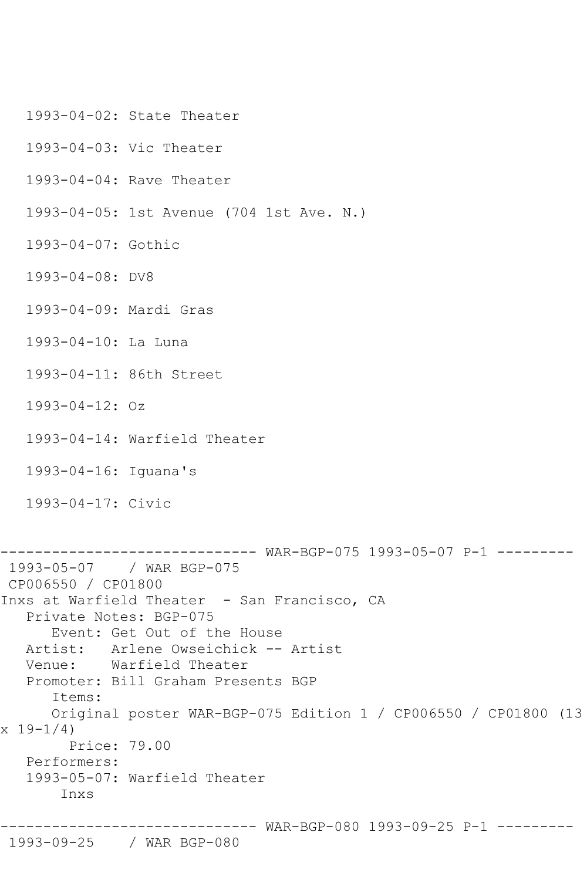1993-04-02: State Theater

1993-04-03: Vic Theater

1993-04-04: Rave Theater

1993-04-05: 1st Avenue (704 1st Ave. N.)

1993-04-07: Gothic

1993-04-08: DV8

1993-04-09: Mardi Gras

1993-04-10: La Luna

1993-04-11: 86th Street

1993-04-12: Oz

1993-04-14: Warfield Theater

1993-04-16: Iguana's

1993-04-17: Civic

```
------------------------------ WAR-BGP-075 1993-05-07 P-1 ---------
1993-05-07 / WAR BGP-075
CP006550 / CP01800
Inxs at Warfield Theater - San Francisco, CA
   Private Notes: BGP-075
       Event: Get Out of the House
   Artist: Arlene Owseichick -- Artist
   Venue: Warfield Theater
   Promoter: Bill Graham Presents BGP
       Items:
      Original poster WAR-BGP-075 Edition 1 / CP006550 / CP01800 (13 
x 19 - 1/4 Price: 79.00
   Performers:
    1993-05-07: Warfield Theater
        Inxs
```
------------------------------ WAR-BGP-080 1993-09-25 P-1 ---------

1993-09-25 / WAR BGP-080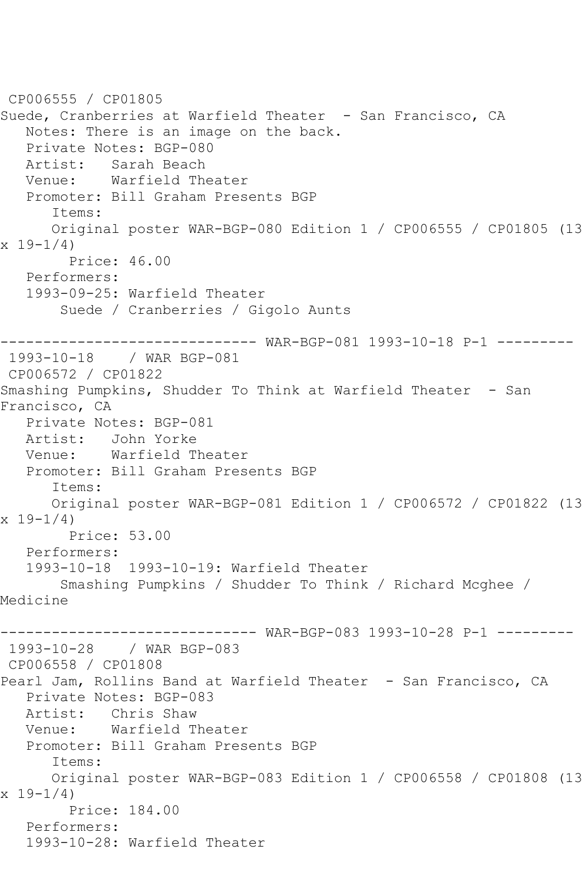```
CP006555 / CP01805
Suede, Cranberries at Warfield Theater - San Francisco, CA
   Notes: There is an image on the back.
   Private Notes: BGP-080
   Artist: Sarah Beach
   Venue: Warfield Theater
   Promoter: Bill Graham Presents BGP
       Items:
       Original poster WAR-BGP-080 Edition 1 / CP006555 / CP01805 (13 
x 19-1/4)
         Price: 46.00
   Performers:
    1993-09-25: Warfield Theater
        Suede / Cranberries / Gigolo Aunts
                ------------------------------ WAR-BGP-081 1993-10-18 P-1 ---------
1993-10-18 / WAR BGP-081
CP006572 / CP01822
Smashing Pumpkins, Shudder To Think at Warfield Theater - San 
Francisco, CA
   Private Notes: BGP-081
   Artist: John Yorke
   Venue: Warfield Theater
   Promoter: Bill Graham Presents BGP
       Items:
      Original poster WAR-BGP-081 Edition 1 / CP006572 / CP01822 (13 
x 19 - 1/4 Price: 53.00
   Performers:
    1993-10-18 1993-10-19: Warfield Theater
        Smashing Pumpkins / Shudder To Think / Richard Mcghee / 
Medicine
------------------------------ WAR-BGP-083 1993-10-28 P-1 ---------
1993-10-28 / WAR BGP-083
CP006558 / CP01808
Pearl Jam, Rollins Band at Warfield Theater - San Francisco, CA
    Private Notes: BGP-083
  Artist: Chris Shaw<br>Venue: Warfield T
          Warfield Theater
   Promoter: Bill Graham Presents BGP
       Items:
       Original poster WAR-BGP-083 Edition 1 / CP006558 / CP01808 (13 
x 19 - 1/4 Price: 184.00
   Performers:
    1993-10-28: Warfield Theater
```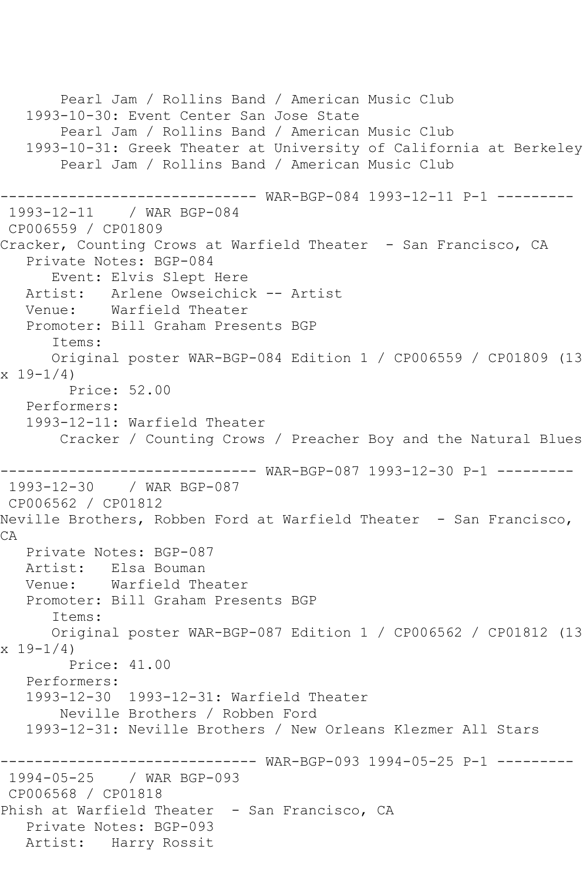Pearl Jam / Rollins Band / American Music Club 1993-10-30: Event Center San Jose State Pearl Jam / Rollins Band / American Music Club 1993-10-31: Greek Theater at University of California at Berkeley Pearl Jam / Rollins Band / American Music Club ------------------------------ WAR-BGP-084 1993-12-11 P-1 --------- 1993-12-11 / WAR BGP-084 CP006559 / CP01809 Cracker, Counting Crows at Warfield Theater - San Francisco, CA Private Notes: BGP-084 Event: Elvis Slept Here Artist: Arlene Owseichick -- Artist Venue: Warfield Theater Promoter: Bill Graham Presents BGP Items: Original poster WAR-BGP-084 Edition 1 / CP006559 / CP01809 (13 x 19-1/4) Price: 52.00 Performers: 1993-12-11: Warfield Theater Cracker / Counting Crows / Preacher Boy and the Natural Blues ------------------------------ WAR-BGP-087 1993-12-30 P-1 --------- 1993-12-30 / WAR BGP-087 CP006562 / CP01812 Neville Brothers, Robben Ford at Warfield Theater - San Francisco, CA Private Notes: BGP-087 Artist: Elsa Bouman Venue: Warfield Theater Promoter: Bill Graham Presents BGP Items: Original poster WAR-BGP-087 Edition 1 / CP006562 / CP01812 (13 x 19-1/4) Price: 41.00 Performers: 1993-12-30 1993-12-31: Warfield Theater Neville Brothers / Robben Ford 1993-12-31: Neville Brothers / New Orleans Klezmer All Stars ------------------------------ WAR-BGP-093 1994-05-25 P-1 --------- 1994-05-25 / WAR BGP-093 CP006568 / CP01818 Phish at Warfield Theater - San Francisco, CA Private Notes: BGP-093 Artist: Harry Rossit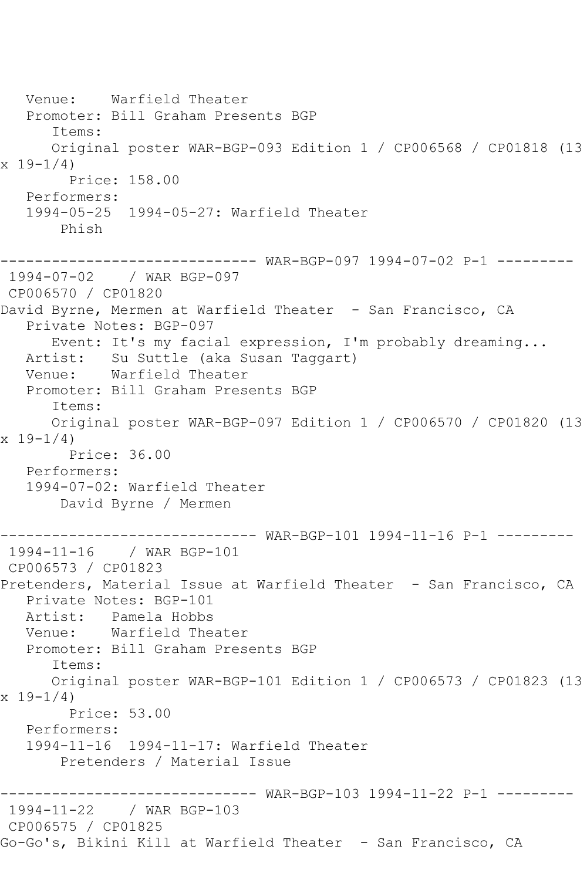Venue: Warfield Theater Promoter: Bill Graham Presents BGP Items: Original poster WAR-BGP-093 Edition 1 / CP006568 / CP01818 (13  $x 19-1/4$  Price: 158.00 Performers: 1994-05-25 1994-05-27: Warfield Theater Phish ------------------------------ WAR-BGP-097 1994-07-02 P-1 --------- 1994-07-02 / WAR BGP-097 CP006570 / CP01820 David Byrne, Mermen at Warfield Theater - San Francisco, CA Private Notes: BGP-097 Event: It's my facial expression, I'm probably dreaming... Artist: Su Suttle (aka Susan Taggart) Venue: Warfield Theater Promoter: Bill Graham Presents BGP Items: Original poster WAR-BGP-097 Edition 1 / CP006570 / CP01820 (13  $x 19 - 1/4$  Price: 36.00 Performers: 1994-07-02: Warfield Theater David Byrne / Mermen ------------------------------ WAR-BGP-101 1994-11-16 P-1 --------- 1994-11-16 / WAR BGP-101 CP006573 / CP01823 Pretenders, Material Issue at Warfield Theater - San Francisco, CA Private Notes: BGP-101 Artist: Pamela Hobbs<br>Venue: Warfield The Warfield Theater Promoter: Bill Graham Presents BGP Items: Original poster WAR-BGP-101 Edition 1 / CP006573 / CP01823 (13  $x 19 - 1/4$  Price: 53.00 Performers: 1994-11-16 1994-11-17: Warfield Theater Pretenders / Material Issue ------------------------------ WAR-BGP-103 1994-11-22 P-1 --------- 1994-11-22 / WAR BGP-103 CP006575 / CP01825 Go-Go's, Bikini Kill at Warfield Theater - San Francisco, CA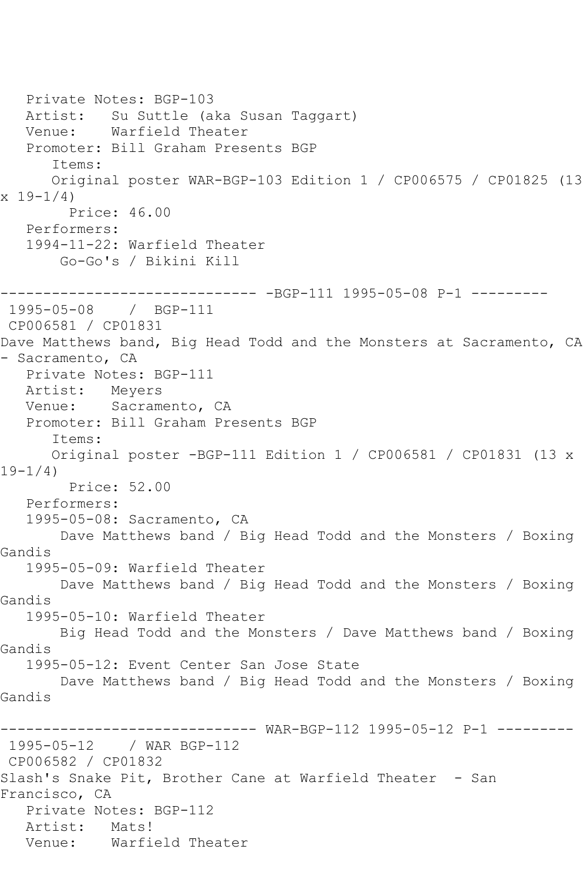Private Notes: BGP-103 Artist: Su Suttle (aka Susan Taggart) Venue: Warfield Theater Promoter: Bill Graham Presents BGP Items: Original poster WAR-BGP-103 Edition 1 / CP006575 / CP01825 (13  $x 19-1/4$  Price: 46.00 Performers: 1994-11-22: Warfield Theater Go-Go's / Bikini Kill ------------------------------ -BGP-111 1995-05-08 P-1 --------- 1995-05-08 / BGP-111 CP006581 / CP01831 Dave Matthews band, Big Head Todd and the Monsters at Sacramento, CA - Sacramento, CA Private Notes: BGP-111 Artist: Meyers Venue: Sacramento, CA Promoter: Bill Graham Presents BGP Items: Original poster -BGP-111 Edition 1 / CP006581 / CP01831 (13 x 19-1/4) Price: 52.00 Performers: 1995-05-08: Sacramento, CA Dave Matthews band / Big Head Todd and the Monsters / Boxing Gandis 1995-05-09: Warfield Theater Dave Matthews band / Big Head Todd and the Monsters / Boxing Gandis 1995-05-10: Warfield Theater Big Head Todd and the Monsters / Dave Matthews band / Boxing Gandis 1995-05-12: Event Center San Jose State Dave Matthews band / Big Head Todd and the Monsters / Boxing Gandis ------------------------------ WAR-BGP-112 1995-05-12 P-1 --------- 1995-05-12 / WAR BGP-112 CP006582 / CP01832 Slash's Snake Pit, Brother Cane at Warfield Theater - San Francisco, CA Private Notes: BGP-112 Artist: Mats! Venue: Warfield Theater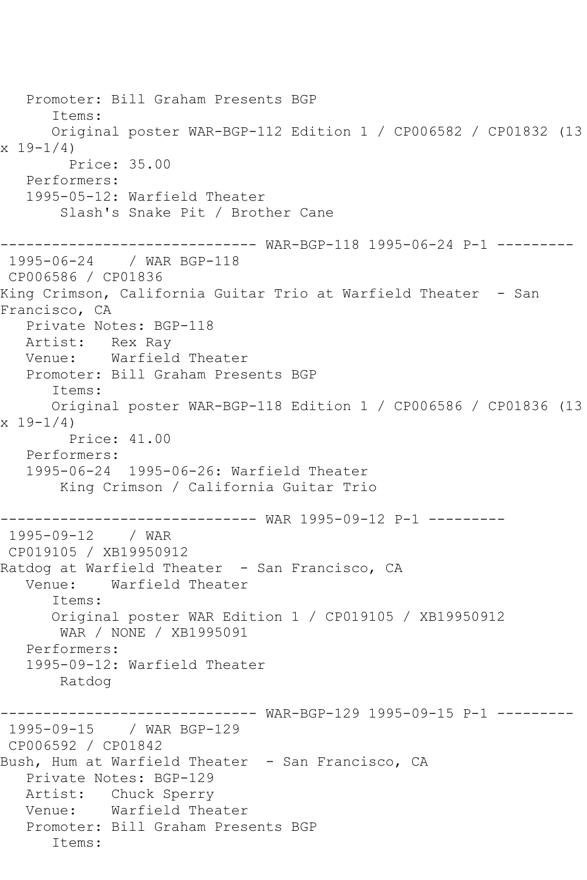Promoter: Bill Graham Presents BGP Items: Original poster WAR-BGP-112 Edition 1 / CP006582 / CP01832 (13  $x 19-1/4$  Price: 35.00 Performers: 1995-05-12: Warfield Theater Slash's Snake Pit / Brother Cane ------------------------------ WAR-BGP-118 1995-06-24 P-1 --------- 1995-06-24 / WAR BGP-118 CP006586 / CP01836 King Crimson, California Guitar Trio at Warfield Theater - San Francisco, CA Private Notes: BGP-118 Artist: Rex Ray Venue: Warfield Theater Promoter: Bill Graham Presents BGP Items: Original poster WAR-BGP-118 Edition 1 / CP006586 / CP01836 (13  $x 19 - 1/4$  Price: 41.00 Performers: 1995-06-24 1995-06-26: Warfield Theater King Crimson / California Guitar Trio ------------------------------ WAR 1995-09-12 P-1 --------- 1995-09-12 / WAR CP019105 / XB19950912 Ratdog at Warfield Theater - San Francisco, CA Venue: Warfield Theater Items: Original poster WAR Edition 1 / CP019105 / XB19950912 WAR / NONE / XB1995091 Performers: 1995-09-12: Warfield Theater Ratdog ------------------------------ WAR-BGP-129 1995-09-15 P-1 --------- 1995-09-15 / WAR BGP-129 CP006592 / CP01842 Bush, Hum at Warfield Theater - San Francisco, CA Private Notes: BGP-129 Artist: Chuck Sperry Venue: Warfield Theater Promoter: Bill Graham Presents BGP Items: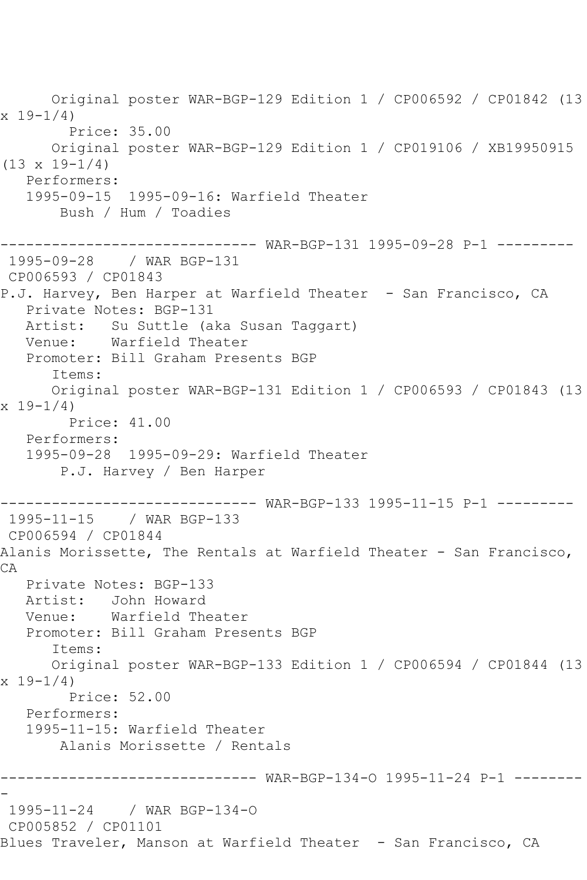Original poster WAR-BGP-129 Edition 1 / CP006592 / CP01842 (13  $x 19 - 1/4$  Price: 35.00 Original poster WAR-BGP-129 Edition 1 / CP019106 / XB19950915  $(13 \times 19 - 1/4)$  Performers: 1995-09-15 1995-09-16: Warfield Theater Bush / Hum / Toadies ------------------------------ WAR-BGP-131 1995-09-28 P-1 --------- 1995-09-28 / WAR BGP-131 CP006593 / CP01843 P.J. Harvey, Ben Harper at Warfield Theater - San Francisco, CA Private Notes: BGP-131 Artist: Su Suttle (aka Susan Taggart) Venue: Warfield Theater Promoter: Bill Graham Presents BGP Items: Original poster WAR-BGP-131 Edition 1 / CP006593 / CP01843 (13  $x 19 - 1/4$  Price: 41.00 Performers: 1995-09-28 1995-09-29: Warfield Theater P.J. Harvey / Ben Harper ------------------------------ WAR-BGP-133 1995-11-15 P-1 --------- 1995-11-15 / WAR BGP-133 CP006594 / CP01844 Alanis Morissette, The Rentals at Warfield Theater - San Francisco, CA Private Notes: BGP-133 Artist: John Howard Venue: Warfield Theater Promoter: Bill Graham Presents BGP Items: Original poster WAR-BGP-133 Edition 1 / CP006594 / CP01844 (13  $x 19 - 1/4$  Price: 52.00 Performers: 1995-11-15: Warfield Theater Alanis Morissette / Rentals ------------------------------ WAR-BGP-134-O 1995-11-24 P-1 -------- - 1995-11-24 / WAR BGP-134-O CP005852 / CP01101 Blues Traveler, Manson at Warfield Theater - San Francisco, CA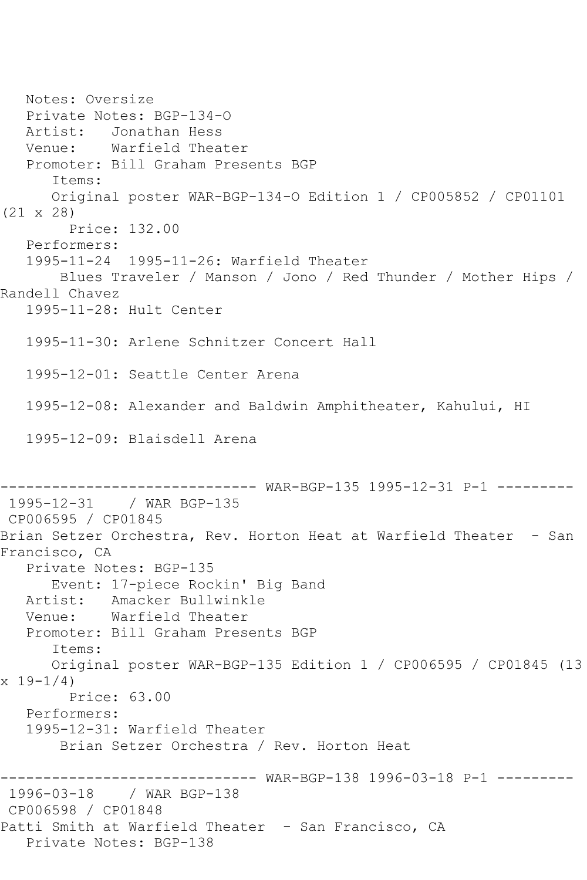Notes: Oversize Private Notes: BGP-134-O Artist: Jonathan Hess Venue: Warfield Theater Promoter: Bill Graham Presents BGP Items: Original poster WAR-BGP-134-O Edition 1 / CP005852 / CP01101 (21 x 28) Price: 132.00 Performers: 1995-11-24 1995-11-26: Warfield Theater Blues Traveler / Manson / Jono / Red Thunder / Mother Hips / Randell Chavez 1995-11-28: Hult Center 1995-11-30: Arlene Schnitzer Concert Hall 1995-12-01: Seattle Center Arena 1995-12-08: Alexander and Baldwin Amphitheater, Kahului, HI 1995-12-09: Blaisdell Arena ------------------------------ WAR-BGP-135 1995-12-31 P-1 --------- 1995-12-31 / WAR BGP-135 CP006595 / CP01845 Brian Setzer Orchestra, Rev. Horton Heat at Warfield Theater - San Francisco, CA Private Notes: BGP-135 Event: 17-piece Rockin' Big Band Artist: Amacker Bullwinkle Venue: Warfield Theater Promoter: Bill Graham Presents BGP Items: Original poster WAR-BGP-135 Edition 1 / CP006595 / CP01845 (13  $x 19 - 1/4$  Price: 63.00 Performers: 1995-12-31: Warfield Theater Brian Setzer Orchestra / Rev. Horton Heat ------------------------------ WAR-BGP-138 1996-03-18 P-1 --------- 1996-03-18 / WAR BGP-138 CP006598 / CP01848 Patti Smith at Warfield Theater - San Francisco, CA Private Notes: BGP-138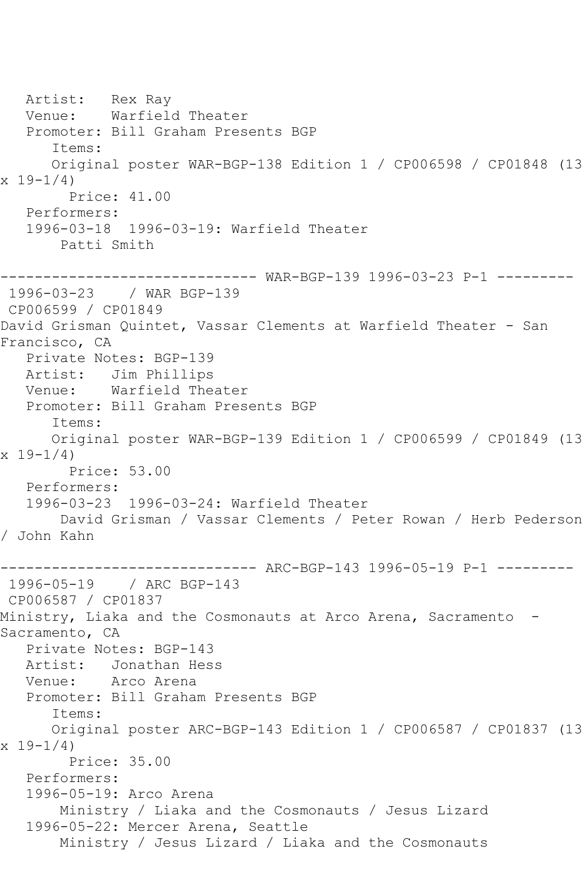Artist: Rex Ray Venue: Warfield Theater Promoter: Bill Graham Presents BGP Items: Original poster WAR-BGP-138 Edition 1 / CP006598 / CP01848 (13  $x 19-1/4$  Price: 41.00 Performers: 1996-03-18 1996-03-19: Warfield Theater Patti Smith ------------------------------ WAR-BGP-139 1996-03-23 P-1 --------- 1996-03-23 / WAR BGP-139 CP006599 / CP01849 David Grisman Quintet, Vassar Clements at Warfield Theater - San Francisco, CA Private Notes: BGP-139 Artist: Jim Phillips Venue: Warfield Theater Promoter: Bill Graham Presents BGP Items: Original poster WAR-BGP-139 Edition 1 / CP006599 / CP01849 (13  $x 19-1/4$  Price: 53.00 Performers: 1996-03-23 1996-03-24: Warfield Theater David Grisman / Vassar Clements / Peter Rowan / Herb Pederson / John Kahn ------------------------------ ARC-BGP-143 1996-05-19 P-1 --------- 1996-05-19 / ARC BGP-143 CP006587 / CP01837 Ministry, Liaka and the Cosmonauts at Arco Arena, Sacramento - Sacramento, CA Private Notes: BGP-143 Artist: Jonathan Hess Venue: Arco Arena Promoter: Bill Graham Presents BGP Items: Original poster ARC-BGP-143 Edition 1 / CP006587 / CP01837 (13  $x 19-1/4$  Price: 35.00 Performers: 1996-05-19: Arco Arena Ministry / Liaka and the Cosmonauts / Jesus Lizard 1996-05-22: Mercer Arena, Seattle Ministry / Jesus Lizard / Liaka and the Cosmonauts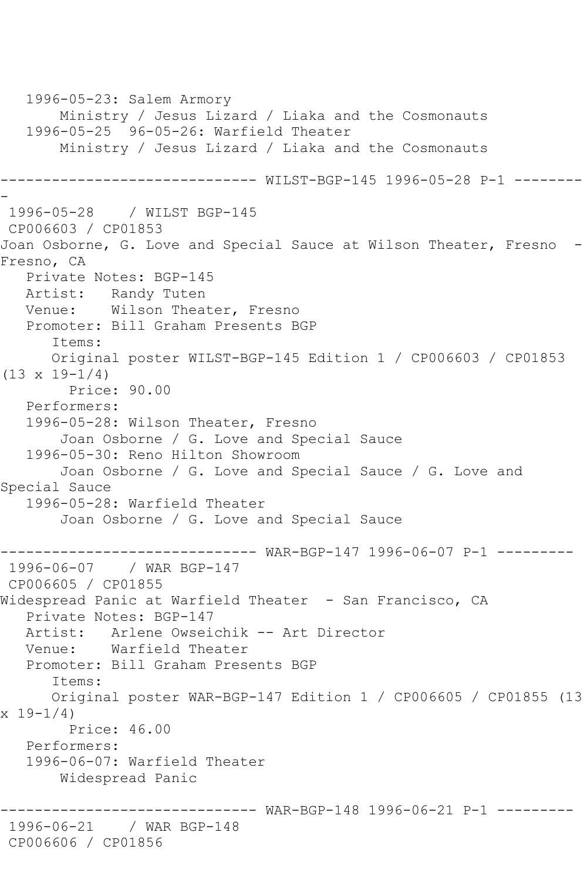```
 1996-05-23: Salem Armory
        Ministry / Jesus Lizard / Liaka and the Cosmonauts
    1996-05-25 96-05-26: Warfield Theater
        Ministry / Jesus Lizard / Liaka and the Cosmonauts
         ------------------------------ WILST-BGP-145 1996-05-28 P-1 --------
-
1996-05-28 / WILST BGP-145
CP006603 / CP01853
Joan Osborne, G. Love and Special Sauce at Wilson Theater, Fresno -
Fresno, CA
   Private Notes: BGP-145
   Artist: Randy Tuten
   Venue: Wilson Theater, Fresno
   Promoter: Bill Graham Presents BGP
       Items:
       Original poster WILST-BGP-145 Edition 1 / CP006603 / CP01853 
(13 \times 19 - 1/4) Price: 90.00
   Performers:
    1996-05-28: Wilson Theater, Fresno
        Joan Osborne / G. Love and Special Sauce
    1996-05-30: Reno Hilton Showroom
        Joan Osborne / G. Love and Special Sauce / G. Love and 
Special Sauce
    1996-05-28: Warfield Theater
        Joan Osborne / G. Love and Special Sauce
                   ------------------------------ WAR-BGP-147 1996-06-07 P-1 ---------
1996-06-07 / WAR BGP-147
CP006605 / CP01855
Widespread Panic at Warfield Theater - San Francisco, CA
   Private Notes: BGP-147
   Artist: Arlene Owseichik -- Art Director
   Venue: Warfield Theater
   Promoter: Bill Graham Presents BGP
       Items:
       Original poster WAR-BGP-147 Edition 1 / CP006605 / CP01855 (13 
x 19-1/4)
         Price: 46.00
    Performers:
    1996-06-07: Warfield Theater
        Widespread Panic
                         ------------------------------ WAR-BGP-148 1996-06-21 P-1 ---------
1996-06-21 / WAR BGP-148
CP006606 / CP01856
```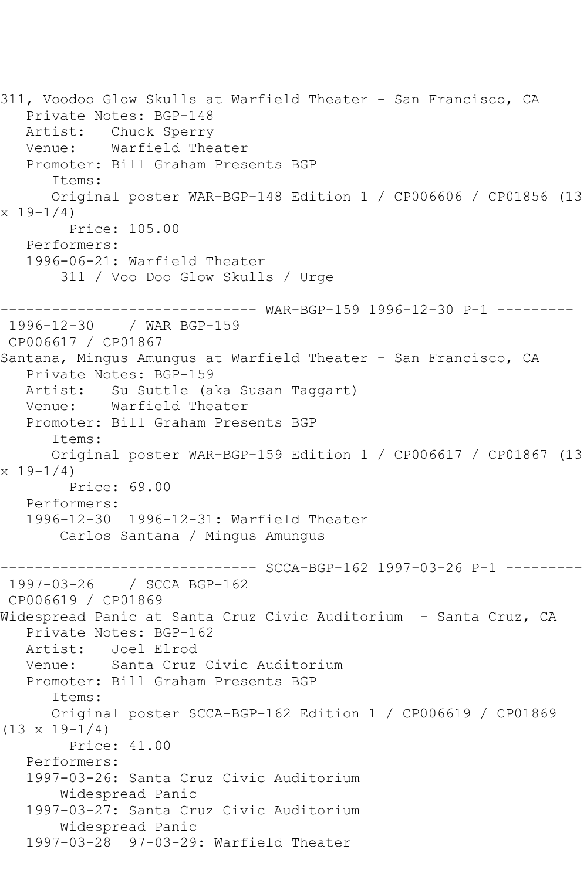311, Voodoo Glow Skulls at Warfield Theater - San Francisco, CA Private Notes: BGP-148 Artist: Chuck Sperry Venue: Warfield Theater Promoter: Bill Graham Presents BGP Items: Original poster WAR-BGP-148 Edition 1 / CP006606 / CP01856 (13  $x 19 - 1/4$  Price: 105.00 Performers: 1996-06-21: Warfield Theater 311 / Voo Doo Glow Skulls / Urge ------------------------------ WAR-BGP-159 1996-12-30 P-1 --------- / WAR BGP-159 CP006617 / CP01867 Santana, Mingus Amungus at Warfield Theater - San Francisco, CA Private Notes: BGP-159<br>Artist: Su Suttle (a Su Suttle (aka Susan Taggart) Venue: Warfield Theater Promoter: Bill Graham Presents BGP Items: Original poster WAR-BGP-159 Edition 1 / CP006617 / CP01867 (13 x 19-1/4) Price: 69.00 Performers: 1996-12-30 1996-12-31: Warfield Theater Carlos Santana / Mingus Amungus ------------------------------ SCCA-BGP-162 1997-03-26 P-1 --------- 1997-03-26 / SCCA BGP-162 CP006619 / CP01869 Widespread Panic at Santa Cruz Civic Auditorium - Santa Cruz, CA Private Notes: BGP-162 Artist: Joel Elrod Venue: Santa Cruz Civic Auditorium Promoter: Bill Graham Presents BGP Items: Original poster SCCA-BGP-162 Edition 1 / CP006619 / CP01869  $(13 \times 19 - 1/4)$  Price: 41.00 Performers: 1997-03-26: Santa Cruz Civic Auditorium Widespread Panic 1997-03-27: Santa Cruz Civic Auditorium Widespread Panic 1997-03-28 97-03-29: Warfield Theater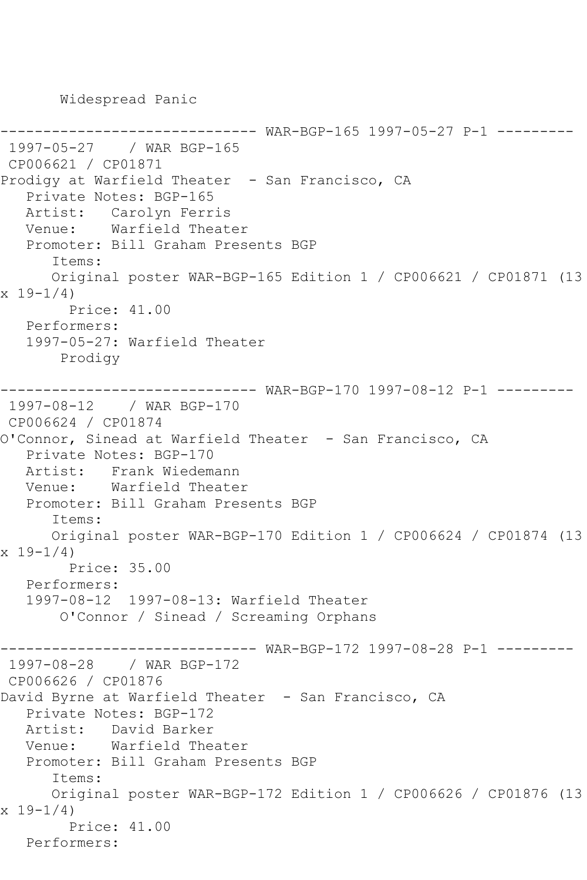Widespread Panic

------------------------------ WAR-BGP-165 1997-05-27 P-1 --------- 1997-05-27 / WAR BGP-165 CP006621 / CP01871 Prodigy at Warfield Theater - San Francisco, CA Private Notes: BGP-165 Artist: Carolyn Ferris Venue: Warfield Theater Promoter: Bill Graham Presents BGP Items: Original poster WAR-BGP-165 Edition 1 / CP006621 / CP01871 (13  $x 19-1/4$  Price: 41.00 Performers: 1997-05-27: Warfield Theater Prodigy ------ WAR-BGP-170 1997-08-12 P-1 ---------1997-08-12 / WAR BGP-170 CP006624 / CP01874 O'Connor, Sinead at Warfield Theater - San Francisco, CA Private Notes: BGP-170 Artist: Frank Wiedemann Venue: Warfield Theater Promoter: Bill Graham Presents BGP Items: Original poster WAR-BGP-170 Edition 1 / CP006624 / CP01874 (13 x 19-1/4) Price: 35.00 Performers: 1997-08-12 1997-08-13: Warfield Theater O'Connor / Sinead / Screaming Orphans ------------------------------ WAR-BGP-172 1997-08-28 P-1 --------- 1997-08-28 / WAR BGP-172 CP006626 / CP01876 David Byrne at Warfield Theater - San Francisco, CA Private Notes: BGP-172 Artist: David Barker Venue: Warfield Theater Promoter: Bill Graham Presents BGP Items: Original poster WAR-BGP-172 Edition 1 / CP006626 / CP01876 (13 x 19-1/4) Price: 41.00 Performers: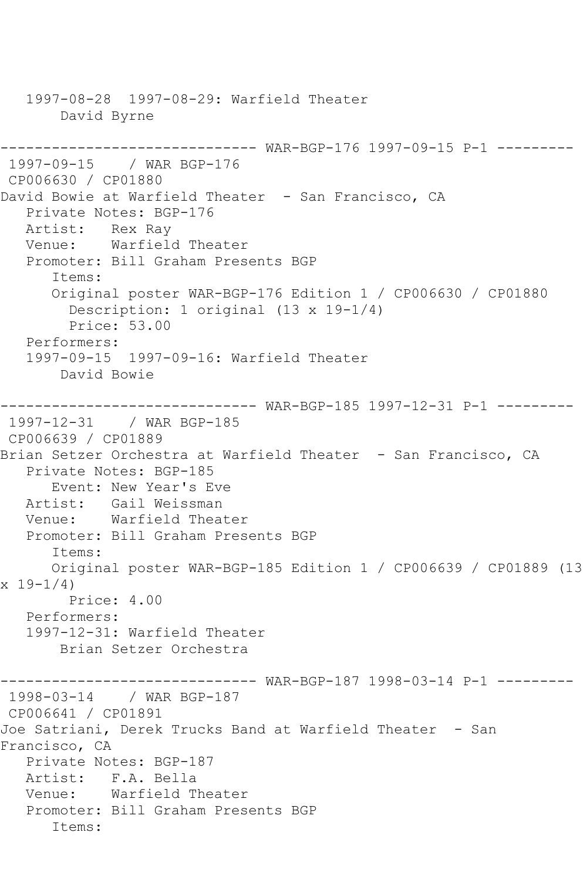1997-08-28 1997-08-29: Warfield Theater David Byrne ------------------------------ WAR-BGP-176 1997-09-15 P-1 --------- 1997-09-15 / WAR BGP-176 CP006630 / CP01880 David Bowie at Warfield Theater - San Francisco, CA Private Notes: BGP-176 Artist: Rex Ray Venue: Warfield Theater Promoter: Bill Graham Presents BGP Items: Original poster WAR-BGP-176 Edition 1 / CP006630 / CP01880 Description: 1 original (13 x 19-1/4) Price: 53.00 Performers: 1997-09-15 1997-09-16: Warfield Theater David Bowie ------------------------------ WAR-BGP-185 1997-12-31 P-1 --------- 1997-12-31 / WAR BGP-185 CP006639 / CP01889 Brian Setzer Orchestra at Warfield Theater - San Francisco, CA Private Notes: BGP-185 Event: New Year's Eve Artist: Gail Weissman Venue: Warfield Theater Promoter: Bill Graham Presents BGP Items: Original poster WAR-BGP-185 Edition 1 / CP006639 / CP01889 (13  $x 19 - 1/4$  Price: 4.00 Performers: 1997-12-31: Warfield Theater Brian Setzer Orchestra ------------------------------ WAR-BGP-187 1998-03-14 P-1 --------- 1998-03-14 / WAR BGP-187 CP006641 / CP01891 Joe Satriani, Derek Trucks Band at Warfield Theater - San Francisco, CA Private Notes: BGP-187 Artist: F.A. Bella<br>Venue: Warfield T Warfield Theater Promoter: Bill Graham Presents BGP Items: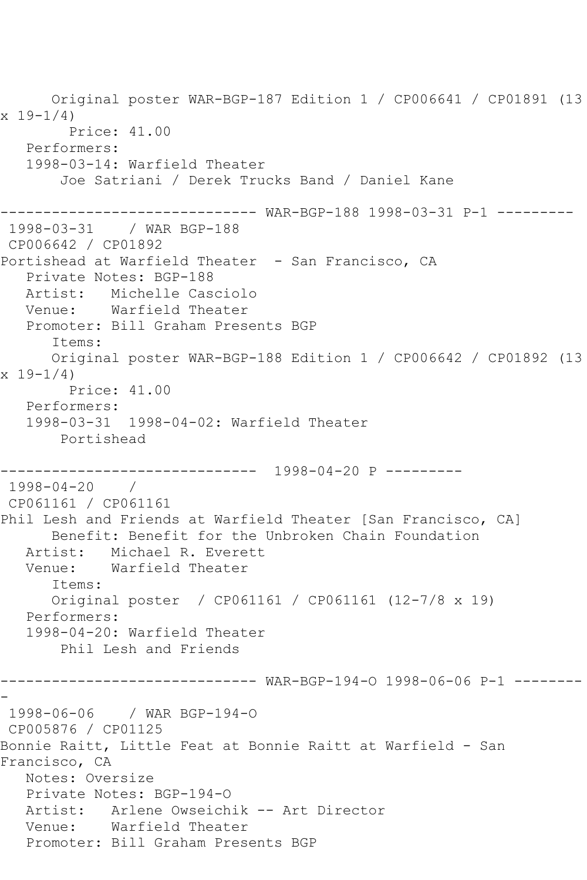Original poster WAR-BGP-187 Edition 1 / CP006641 / CP01891 (13  $x 19 - 1/4$  Price: 41.00 Performers: 1998-03-14: Warfield Theater Joe Satriani / Derek Trucks Band / Daniel Kane ------------------------------ WAR-BGP-188 1998-03-31 P-1 --------- 1998-03-31 / WAR BGP-188 CP006642 / CP01892 Portishead at Warfield Theater - San Francisco, CA Private Notes: BGP-188 Artist: Michelle Casciolo Venue: Warfield Theater Promoter: Bill Graham Presents BGP Items: Original poster WAR-BGP-188 Edition 1 / CP006642 / CP01892 (13 x 19-1/4) Price: 41.00 Performers: 1998-03-31 1998-04-02: Warfield Theater Portishead ------------------------------ 1998-04-20 P --------- 1998-04-20 / CP061161 / CP061161 Phil Lesh and Friends at Warfield Theater [San Francisco, CA] Benefit: Benefit for the Unbroken Chain Foundation Artist: Michael R. Everett Venue: Warfield Theater Items: Original poster / CP061161 / CP061161 (12-7/8 x 19) Performers: 1998-04-20: Warfield Theater Phil Lesh and Friends ------------------------------ WAR-BGP-194-O 1998-06-06 P-1 -------- - 1998-06-06 / WAR BGP-194-O CP005876 / CP01125 Bonnie Raitt, Little Feat at Bonnie Raitt at Warfield - San Francisco, CA Notes: Oversize Private Notes: BGP-194-O Artist: Arlene Owseichik -- Art Director Venue: Warfield Theater Promoter: Bill Graham Presents BGP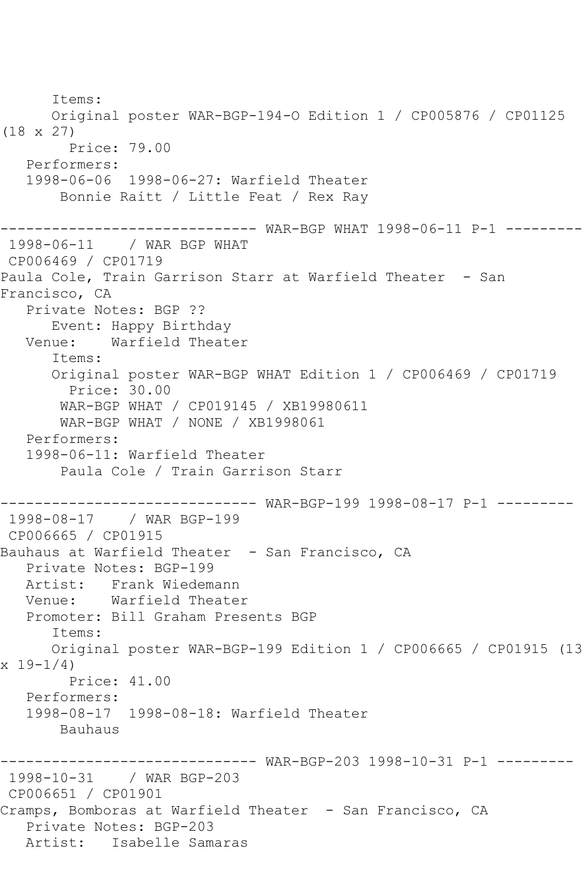Items: Original poster WAR-BGP-194-O Edition 1 / CP005876 / CP01125 (18 x 27) Price: 79.00 Performers: 1998-06-06 1998-06-27: Warfield Theater Bonnie Raitt / Little Feat / Rex Ray ------------------------------ WAR-BGP WHAT 1998-06-11 P-1 --------- 1998-06-11 / WAR BGP WHAT CP006469 / CP01719 Paula Cole, Train Garrison Starr at Warfield Theater - San Francisco, CA Private Notes: BGP ?? Event: Happy Birthday Venue: Warfield Theater Items: Original poster WAR-BGP WHAT Edition 1 / CP006469 / CP01719 Price: 30.00 WAR-BGP WHAT / CP019145 / XB19980611 WAR-BGP WHAT / NONE / XB1998061 Performers: 1998-06-11: Warfield Theater Paula Cole / Train Garrison Starr ------------------------------ WAR-BGP-199 1998-08-17 P-1 --------- 1998-08-17 / WAR BGP-199 CP006665 / CP01915 Bauhaus at Warfield Theater - San Francisco, CA Private Notes: BGP-199 Artist: Frank Wiedemann Venue: Warfield Theater Promoter: Bill Graham Presents BGP Items: Original poster WAR-BGP-199 Edition 1 / CP006665 / CP01915 (13 x 19-1/4) Price: 41.00 Performers: 1998-08-17 1998-08-18: Warfield Theater Bauhaus ------------------------------ WAR-BGP-203 1998-10-31 P-1 --------- 1998-10-31 / WAR BGP-203 CP006651 / CP01901 Cramps, Bomboras at Warfield Theater - San Francisco, CA Private Notes: BGP-203 Artist: Isabelle Samaras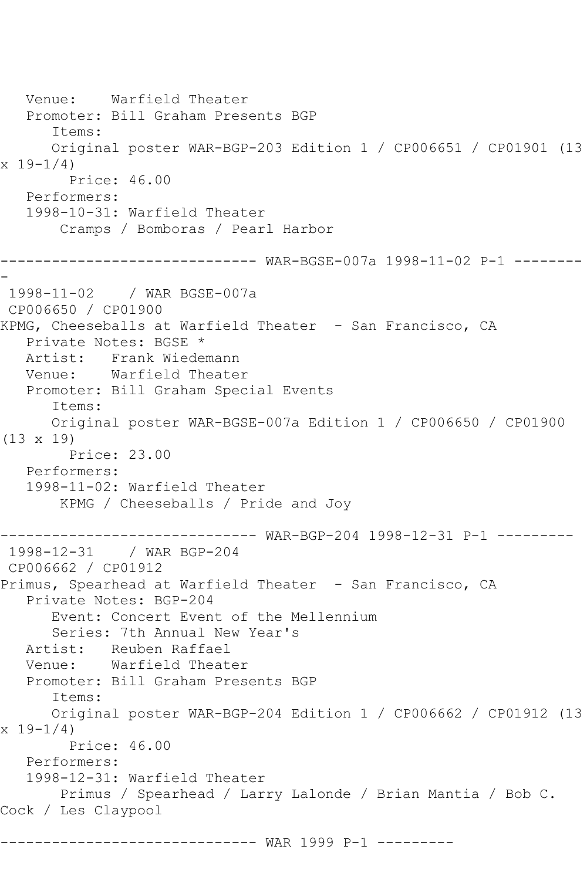Venue: Warfield Theater Promoter: Bill Graham Presents BGP Items: Original poster WAR-BGP-203 Edition 1 / CP006651 / CP01901 (13  $x 19-1/4$  Price: 46.00 Performers: 1998-10-31: Warfield Theater Cramps / Bomboras / Pearl Harbor ------------------------------ WAR-BGSE-007a 1998-11-02 P-1 -------- - 1998-11-02 / WAR BGSE-007a CP006650 / CP01900 KPMG, Cheeseballs at Warfield Theater - San Francisco, CA Private Notes: BGSE \* Artist: Frank Wiedemann Venue: Warfield Theater Promoter: Bill Graham Special Events Items: Original poster WAR-BGSE-007a Edition 1 / CP006650 / CP01900 (13 x 19) Price: 23.00 Performers: 1998-11-02: Warfield Theater KPMG / Cheeseballs / Pride and Joy ------------------------------ WAR-BGP-204 1998-12-31 P-1 --------- 1998-12-31 / WAR BGP-204 CP006662 / CP01912 Primus, Spearhead at Warfield Theater - San Francisco, CA Private Notes: BGP-204 Event: Concert Event of the Mellennium Series: 7th Annual New Year's Artist: Reuben Raffael Venue: Warfield Theater Promoter: Bill Graham Presents BGP Items: Original poster WAR-BGP-204 Edition 1 / CP006662 / CP01912 (13  $x 19-1/4$  Price: 46.00 Performers: 1998-12-31: Warfield Theater Primus / Spearhead / Larry Lalonde / Brian Mantia / Bob C. Cock / Les Claypool ------------------------------ WAR 1999 P-1 ---------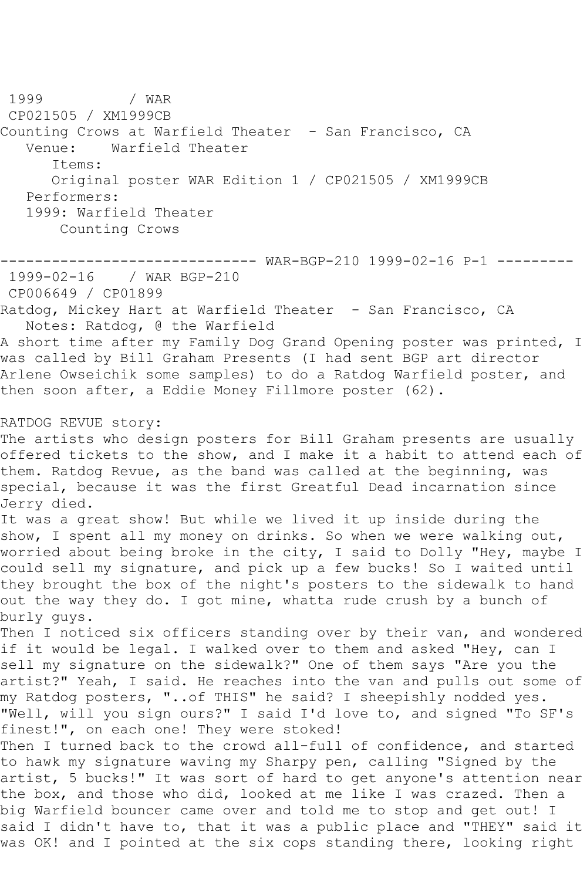1999 / WAR CP021505 / XM1999CB Counting Crows at Warfield Theater - San Francisco, CA Venue: Warfield Theater Items: Original poster WAR Edition 1 / CP021505 / XM1999CB Performers: 1999: Warfield Theater Counting Crows ------------------------------ WAR-BGP-210 1999-02-16 P-1 --------- 1999-02-16 / WAR BGP-210 CP006649 / CP01899 Ratdog, Mickey Hart at Warfield Theater - San Francisco, CA Notes: Ratdog, @ the Warfield A short time after my Family Dog Grand Opening poster was printed, I was called by Bill Graham Presents (I had sent BGP art director Arlene Owseichik some samples) to do a Ratdog Warfield poster, and then soon after, a Eddie Money Fillmore poster (62). RATDOG REVUE story: The artists who design posters for Bill Graham presents are usually offered tickets to the show, and I make it a habit to attend each of them. Ratdog Revue, as the band was called at the beginning, was special, because it was the first Greatful Dead incarnation since Jerry died. It was a great show! But while we lived it up inside during the show, I spent all my money on drinks. So when we were walking out, worried about being broke in the city, I said to Dolly "Hey, maybe I could sell my signature, and pick up a few bucks! So I waited until they brought the box of the night's posters to the sidewalk to hand out the way they do. I got mine, whatta rude crush by a bunch of burly guys. Then I noticed six officers standing over by their van, and wondered if it would be legal. I walked over to them and asked "Hey, can I sell my signature on the sidewalk?" One of them says "Are you the artist?" Yeah, I said. He reaches into the van and pulls out some of my Ratdog posters, "..of THIS" he said? I sheepishly nodded yes. "Well, will you sign ours?" I said I'd love to, and signed "To SF's finest!", on each one! They were stoked! Then I turned back to the crowd all-full of confidence, and started to hawk my signature waving my Sharpy pen, calling "Signed by the artist, 5 bucks!" It was sort of hard to get anyone's attention near the box, and those who did, looked at me like I was crazed. Then a big Warfield bouncer came over and told me to stop and get out! I said I didn't have to, that it was a public place and "THEY" said it was OK! and I pointed at the six cops standing there, looking right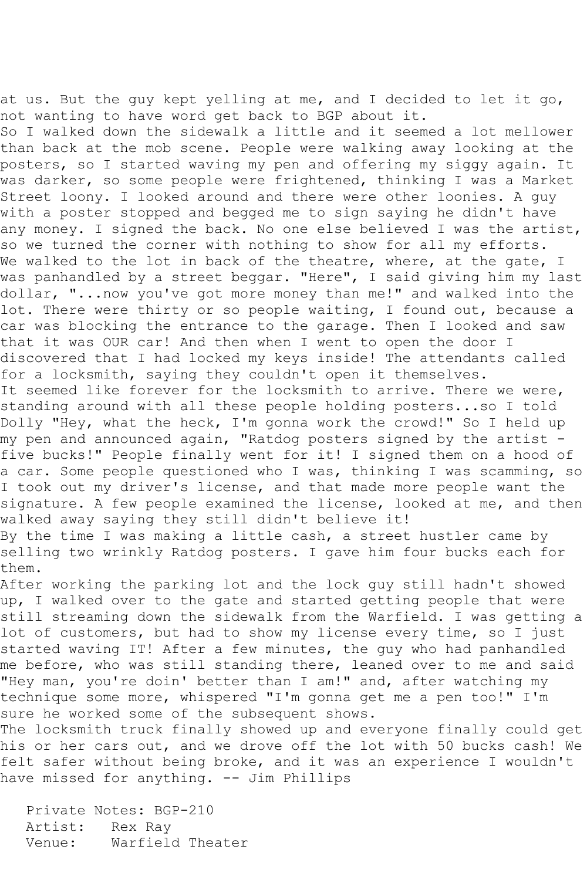at us. But the guy kept yelling at me, and I decided to let it go, not wanting to have word get back to BGP about it. So I walked down the sidewalk a little and it seemed a lot mellower than back at the mob scene. People were walking away looking at the posters, so I started waving my pen and offering my siggy again. It was darker, so some people were frightened, thinking I was a Market Street loony. I looked around and there were other loonies. A guy with a poster stopped and begged me to sign saying he didn't have any money. I signed the back. No one else believed I was the artist, so we turned the corner with nothing to show for all my efforts. We walked to the lot in back of the theatre, where, at the gate, I was panhandled by a street beggar. "Here", I said giving him my last dollar, "...now you've got more money than me!" and walked into the lot. There were thirty or so people waiting, I found out, because a car was blocking the entrance to the garage. Then I looked and saw that it was OUR car! And then when I went to open the door I discovered that I had locked my keys inside! The attendants called for a locksmith, saying they couldn't open it themselves. It seemed like forever for the locksmith to arrive. There we were, standing around with all these people holding posters...so I told Dolly "Hey, what the heck, I'm gonna work the crowd!" So I held up my pen and announced again, "Ratdog posters signed by the artist five bucks!" People finally went for it! I signed them on a hood of a car. Some people questioned who I was, thinking I was scamming, so I took out my driver's license, and that made more people want the signature. A few people examined the license, looked at me, and then walked away saying they still didn't believe it! By the time I was making a little cash, a street hustler came by selling two wrinkly Ratdog posters. I gave him four bucks each for them.

After working the parking lot and the lock guy still hadn't showed up, I walked over to the gate and started getting people that were still streaming down the sidewalk from the Warfield. I was getting a lot of customers, but had to show my license every time, so I just started waving IT! After a few minutes, the guy who had panhandled me before, who was still standing there, leaned over to me and said "Hey man, you're doin' better than I am!" and, after watching my technique some more, whispered "I'm gonna get me a pen too!" I'm sure he worked some of the subsequent shows.

The locksmith truck finally showed up and everyone finally could get his or her cars out, and we drove off the lot with 50 bucks cash! We felt safer without being broke, and it was an experience I wouldn't have missed for anything. -- Jim Phillips

 Private Notes: BGP-210 Artist: Rex Ray<br>Venue: Warfield Warfield Theater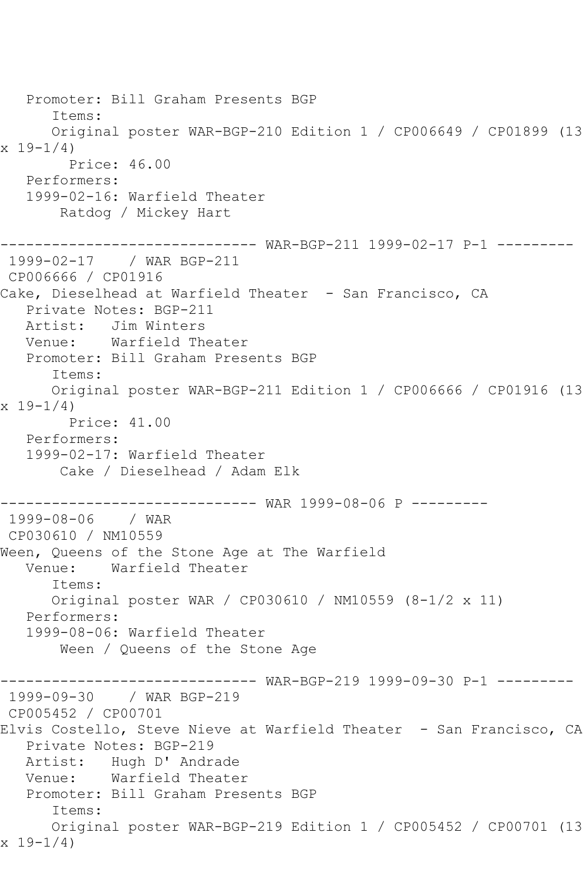Promoter: Bill Graham Presents BGP Items: Original poster WAR-BGP-210 Edition 1 / CP006649 / CP01899 (13  $x 19-1/4$  Price: 46.00 Performers: 1999-02-16: Warfield Theater Ratdog / Mickey Hart ------------------------------ WAR-BGP-211 1999-02-17 P-1 --------- 1999-02-17 / WAR BGP-211 CP006666 / CP01916 Cake, Dieselhead at Warfield Theater - San Francisco, CA Private Notes: BGP-211 Artist: Jim Winters Venue: Warfield Theater Promoter: Bill Graham Presents BGP Items: Original poster WAR-BGP-211 Edition 1 / CP006666 / CP01916 (13  $x 19 - 1/4$  Price: 41.00 Performers: 1999-02-17: Warfield Theater Cake / Dieselhead / Adam Elk ------------------------------ WAR 1999-08-06 P --------- 1999-08-06 / WAR CP030610 / NM10559 Ween, Queens of the Stone Age at The Warfield Venue: Warfield Theater Items: Original poster WAR / CP030610 / NM10559 (8-1/2 x 11) Performers: 1999-08-06: Warfield Theater Ween / Queens of the Stone Age ------------------------------ WAR-BGP-219 1999-09-30 P-1 --------- 1999-09-30 / WAR BGP-219 CP005452 / CP00701 Elvis Costello, Steve Nieve at Warfield Theater - San Francisco, CA Private Notes: BGP-219 Artist: Hugh D' Andrade Venue: Warfield Theater Promoter: Bill Graham Presents BGP Items: Original poster WAR-BGP-219 Edition 1 / CP005452 / CP00701 (13 x 19-1/4)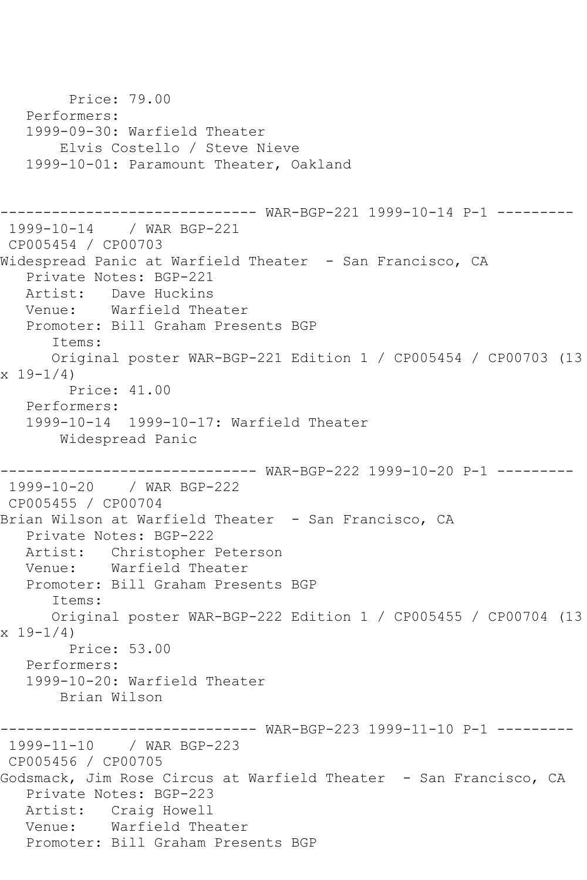```
 Price: 79.00
   Performers:
   1999-09-30: Warfield Theater
       Elvis Costello / Steve Nieve
   1999-10-01: Paramount Theater, Oakland
------------------------------ WAR-BGP-221 1999-10-14 P-1 ---------
1999-10-14 / WAR BGP-221
CP005454 / CP00703
Widespread Panic at Warfield Theater - San Francisco, CA
   Private Notes: BGP-221
   Artist: Dave Huckins
   Venue: Warfield Theater
   Promoter: Bill Graham Presents BGP
      Items:
      Original poster WAR-BGP-221 Edition 1 / CP005454 / CP00703 (13 
x 19-1/4)
        Price: 41.00
   Performers:
   1999-10-14 1999-10-17: Warfield Theater
       Widespread Panic
------------------------------ WAR-BGP-222 1999-10-20 P-1 ---------
1999-10-20 / WAR BGP-222
CP005455 / CP00704
Brian Wilson at Warfield Theater - San Francisco, CA
   Private Notes: BGP-222
   Artist: Christopher Peterson
   Venue: Warfield Theater
   Promoter: Bill Graham Presents BGP
      Items:
      Original poster WAR-BGP-222 Edition 1 / CP005455 / CP00704 (13 
x 19 - 1/4 Price: 53.00
   Performers:
   1999-10-20: Warfield Theater
       Brian Wilson
------------------------------ WAR-BGP-223 1999-11-10 P-1 ---------
1999-11-10 / WAR BGP-223
CP005456 / CP00705
Godsmack, Jim Rose Circus at Warfield Theater - San Francisco, CA
   Private Notes: BGP-223
   Artist: Craig Howell
   Venue: Warfield Theater
   Promoter: Bill Graham Presents BGP
```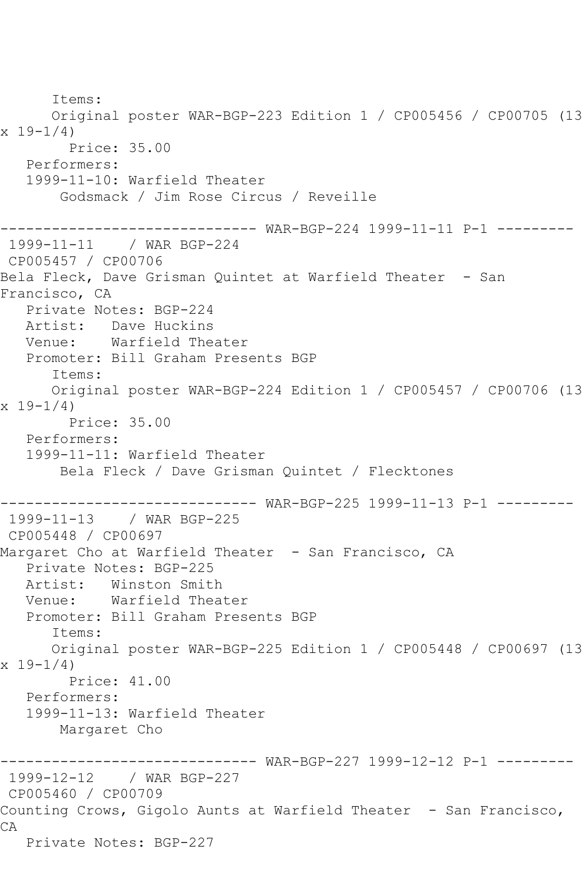Items: Original poster WAR-BGP-223 Edition 1 / CP005456 / CP00705 (13 x 19-1/4) Price: 35.00 Performers: 1999-11-10: Warfield Theater Godsmack / Jim Rose Circus / Reveille ------------------------------ WAR-BGP-224 1999-11-11 P-1 --------- 1999-11-11 / WAR BGP-224 CP005457 / CP00706 Bela Fleck, Dave Grisman Ouintet at Warfield Theater - San Francisco, CA Private Notes: BGP-224 Artist: Dave Huckins Venue: Warfield Theater Promoter: Bill Graham Presents BGP Items: Original poster WAR-BGP-224 Edition 1 / CP005457 / CP00706 (13  $x 19 - 1/4$  Price: 35.00 Performers: 1999-11-11: Warfield Theater Bela Fleck / Dave Grisman Quintet / Flecktones ------------------------------ WAR-BGP-225 1999-11-13 P-1 --------- 1999-11-13 / WAR BGP-225 CP005448 / CP00697 Margaret Cho at Warfield Theater - San Francisco, CA Private Notes: BGP-225 Artist: Winston Smith Venue: Warfield Theater Promoter: Bill Graham Presents BGP Items: Original poster WAR-BGP-225 Edition 1 / CP005448 / CP00697 (13 x 19-1/4) Price: 41.00 Performers: 1999-11-13: Warfield Theater Margaret Cho ------------------------------ WAR-BGP-227 1999-12-12 P-1 --------- 1999-12-12 / WAR BGP-227 CP005460 / CP00709 Counting Crows, Gigolo Aunts at Warfield Theater - San Francisco, CA Private Notes: BGP-227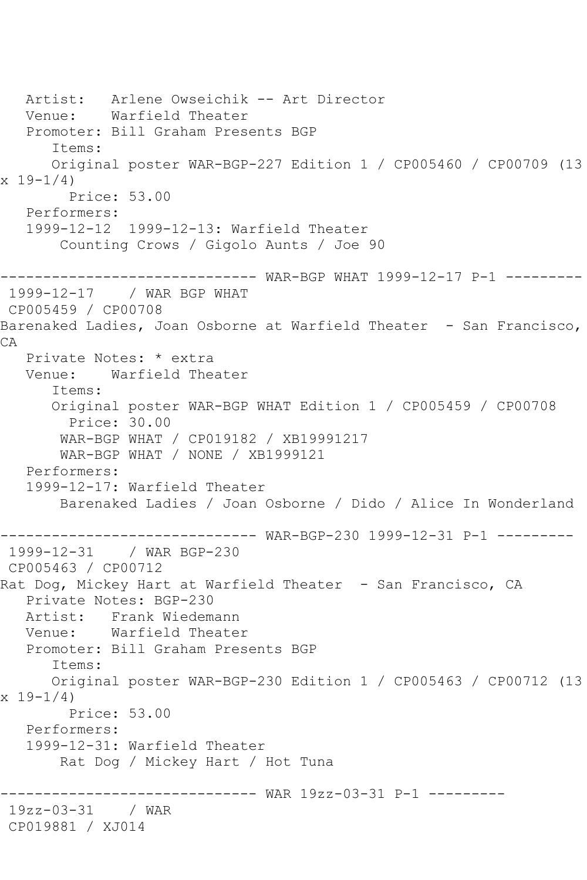```
 Artist: Arlene Owseichik -- Art Director
   Venue: Warfield Theater
   Promoter: Bill Graham Presents BGP
       Items:
       Original poster WAR-BGP-227 Edition 1 / CP005460 / CP00709 (13 
x 19-1/4 Price: 53.00
   Performers:
    1999-12-12 1999-12-13: Warfield Theater
        Counting Crows / Gigolo Aunts / Joe 90
       ------------------------------ WAR-BGP WHAT 1999-12-17 P-1 ---------
1999-12-17 / WAR BGP WHAT
CP005459 / CP00708
Barenaked Ladies, Joan Osborne at Warfield Theater - San Francisco, 
CA
   Private Notes: * extra
   Venue: Warfield Theater
       Items:
       Original poster WAR-BGP WHAT Edition 1 / CP005459 / CP00708
         Price: 30.00
        WAR-BGP WHAT / CP019182 / XB19991217
        WAR-BGP WHAT / NONE / XB1999121
   Performers:
    1999-12-17: Warfield Theater
        Barenaked Ladies / Joan Osborne / Dido / Alice In Wonderland
         ------------------------------ WAR-BGP-230 1999-12-31 P-1 ---------
1999-12-31 / WAR BGP-230
CP005463 / CP00712
Rat Dog, Mickey Hart at Warfield Theater - San Francisco, CA
   Private Notes: BGP-230
  Artist: Frank Wiedemann<br>Venue: Warfield Theate
            Warfield Theater
   Promoter: Bill Graham Presents BGP
       Items:
      Original poster WAR-BGP-230 Edition 1 / CP005463 / CP00712 (13 
x 19 - 1/4 Price: 53.00
   Performers:
    1999-12-31: Warfield Theater
        Rat Dog / Mickey Hart / Hot Tuna
                     ------------------------------ WAR 19zz-03-31 P-1 ---------
19zz-03-31 / WAR 
CP019881 / XJ014
```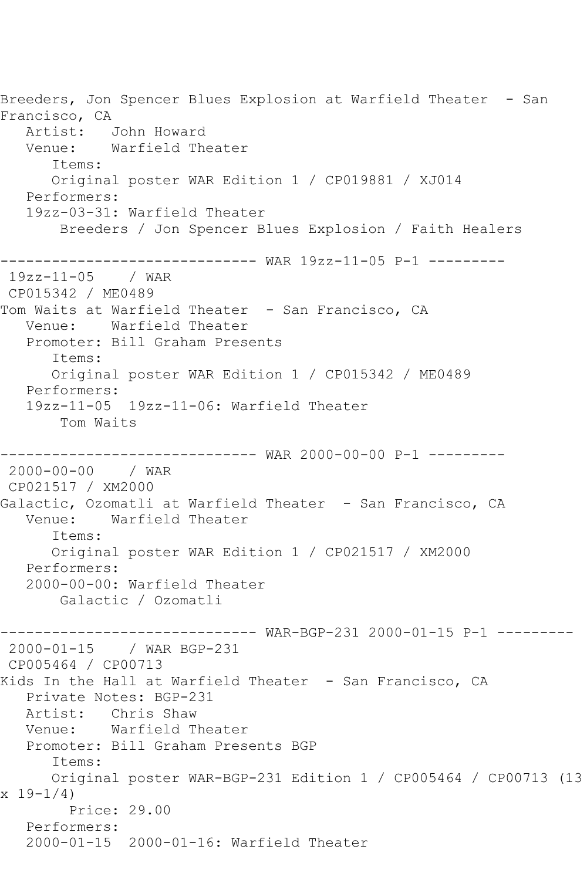Breeders, Jon Spencer Blues Explosion at Warfield Theater - San Francisco, CA Artist: John Howard Venue: Warfield Theater Items: Original poster WAR Edition 1 / CP019881 / XJ014 Performers: 19zz-03-31: Warfield Theater Breeders / Jon Spencer Blues Explosion / Faith Healers ------------------------------ WAR 19zz-11-05 P-1 --------- 19zz-11-05 / WAR CP015342 / ME0489 Tom Waits at Warfield Theater - San Francisco, CA Venue: Warfield Theater Promoter: Bill Graham Presents Items: Original poster WAR Edition 1 / CP015342 / ME0489 Performers: 19zz-11-05 19zz-11-06: Warfield Theater Tom Waits ------------------------------ WAR 2000-00-00 P-1 --------- 2000-00-00 / WAR CP021517 / XM2000 Galactic, Ozomatli at Warfield Theater - San Francisco, CA<br>Venue: Warfield Theater Warfield Theater Items: Original poster WAR Edition 1 / CP021517 / XM2000 Performers: 2000-00-00: Warfield Theater Galactic / Ozomatli ------------------------------ WAR-BGP-231 2000-01-15 P-1 --------- 2000-01-15 / WAR BGP-231 CP005464 / CP00713 Kids In the Hall at Warfield Theater - San Francisco, CA Private Notes: BGP-231 Artist: Chris Shaw<br>Venue: Warfield T Warfield Theater Promoter: Bill Graham Presents BGP Items: Original poster WAR-BGP-231 Edition 1 / CP005464 / CP00713 (13  $x 19 - 1/4$  Price: 29.00 Performers: 2000-01-15 2000-01-16: Warfield Theater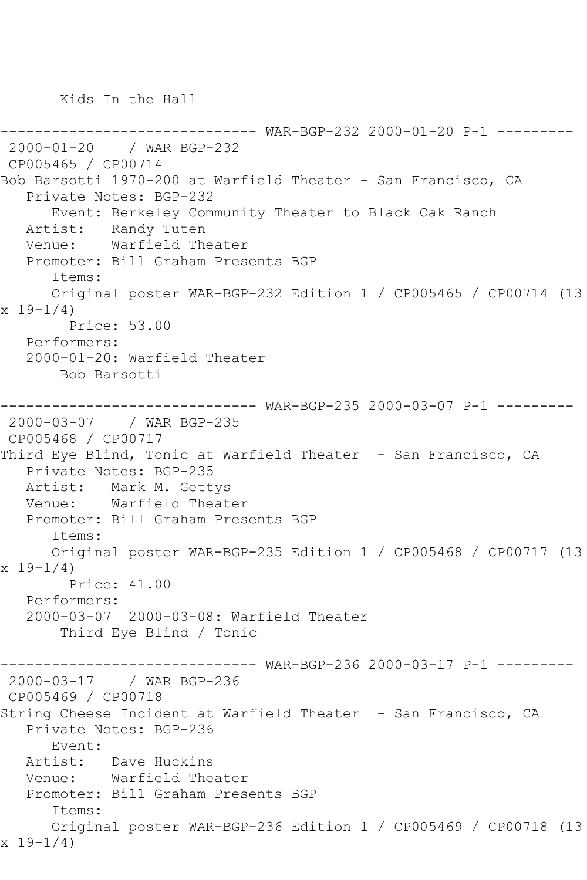Kids In the Hall

```
------------------------------ WAR-BGP-232 2000-01-20 P-1 ---------
2000-01-20 / WAR BGP-232
CP005465 / CP00714
Bob Barsotti 1970-200 at Warfield Theater - San Francisco, CA
    Private Notes: BGP-232
       Event: Berkeley Community Theater to Black Oak Ranch
   Artist: Randy Tuten
   Venue: Warfield Theater
    Promoter: Bill Graham Presents BGP
       Items:
      Original poster WAR-BGP-232 Edition 1 / CP005465 / CP00714 (13 
x 19 - 1/4 Price: 53.00
   Performers:
    2000-01-20: Warfield Theater
        Bob Barsotti
------------------------------ WAR-BGP-235 2000-03-07 P-1 ---------
2000-03-07 / WAR BGP-235
CP005468 / CP00717
Third Eye Blind, Tonic at Warfield Theater - San Francisco, CA
    Private Notes: BGP-235
  Artist: Mark M. Gettys<br>Venue: Warfield Theat
            Warfield Theater
   Promoter: Bill Graham Presents BGP
       Items:
       Original poster WAR-BGP-235 Edition 1 / CP005468 / CP00717 (13 
x 19-1/4 Price: 41.00
    Performers:
   2000-03-07 2000-03-08: Warfield Theater
        Third Eye Blind / Tonic
------------------------------ WAR-BGP-236 2000-03-17 P-1 ---------
2000-03-17 / WAR BGP-236
CP005469 / CP00718
String Cheese Incident at Warfield Theater - San Francisco, CA
   Private Notes: BGP-236
       Event: 
   Artist: Dave Huckins
   Venue: Warfield Theater
   Promoter: Bill Graham Presents BGP
       Items:
       Original poster WAR-BGP-236 Edition 1 / CP005469 / CP00718 (13 
x 19-1/4)
```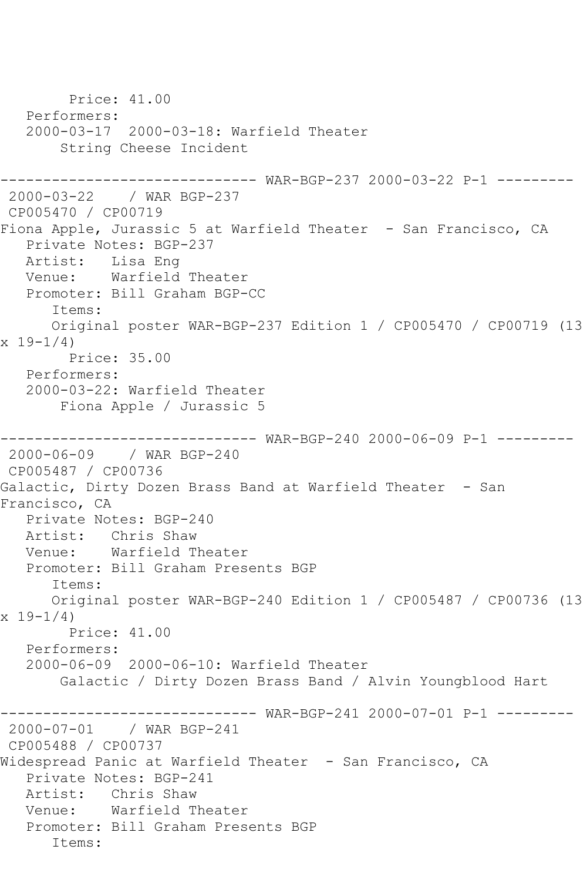Price: 41.00 Performers: 2000-03-17 2000-03-18: Warfield Theater String Cheese Incident ------------------------------ WAR-BGP-237 2000-03-22 P-1 --------- 2000-03-22 / WAR BGP-237 CP005470 / CP00719 Fiona Apple, Jurassic 5 at Warfield Theater - San Francisco, CA Private Notes: BGP-237 Artist: Lisa Eng Venue: Warfield Theater Promoter: Bill Graham BGP-CC Items: Original poster WAR-BGP-237 Edition 1 / CP005470 / CP00719 (13 x 19-1/4) Price: 35.00 Performers: 2000-03-22: Warfield Theater Fiona Apple / Jurassic 5 ------------------------------ WAR-BGP-240 2000-06-09 P-1 --------- 2000-06-09 / WAR BGP-240 CP005487 / CP00736 Galactic, Dirty Dozen Brass Band at Warfield Theater - San Francisco, CA Private Notes: BGP-240 Artist: Chris Shaw Venue: Warfield Theater Promoter: Bill Graham Presents BGP Items: Original poster WAR-BGP-240 Edition 1 / CP005487 / CP00736 (13  $x 19-1/4$  Price: 41.00 Performers: 2000-06-09 2000-06-10: Warfield Theater Galactic / Dirty Dozen Brass Band / Alvin Youngblood Hart ------------------------------ WAR-BGP-241 2000-07-01 P-1 --------- 2000-07-01 / WAR BGP-241 CP005488 / CP00737 Widespread Panic at Warfield Theater - San Francisco, CA Private Notes: BGP-241 Artist: Chris Shaw Venue: Warfield Theater Promoter: Bill Graham Presents BGP Items: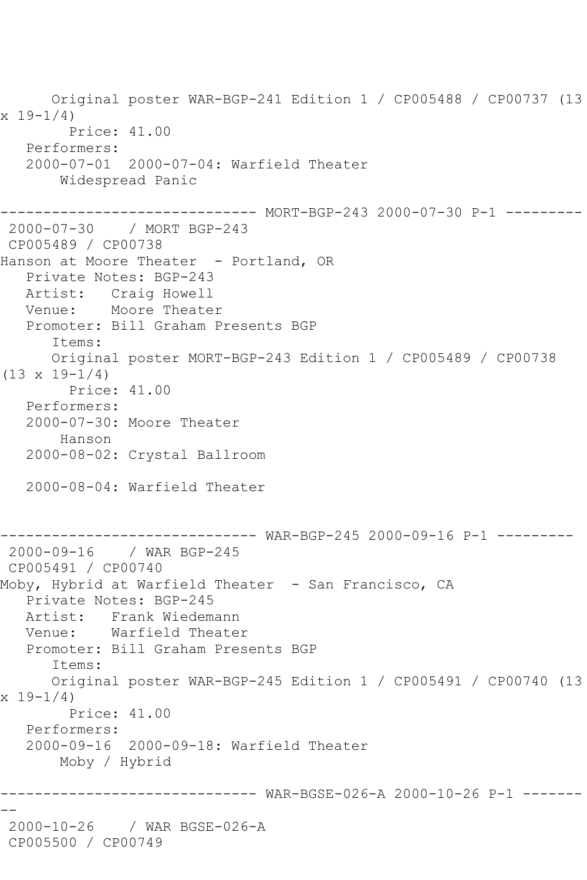Original poster WAR-BGP-241 Edition 1 / CP005488 / CP00737 (13  $x 19 - 1/4$  Price: 41.00 Performers: 2000-07-01 2000-07-04: Warfield Theater Widespread Panic ------------------------------ MORT-BGP-243 2000-07-30 P-1 --------- 2000-07-30 / MORT BGP-243 CP005489 / CP00738 Hanson at Moore Theater - Portland, OR Private Notes: BGP-243 Artist: Craig Howell Venue: Moore Theater Promoter: Bill Graham Presents BGP Items: Original poster MORT-BGP-243 Edition 1 / CP005489 / CP00738  $(13 \times 19 - 1/4)$  Price: 41.00 Performers: 2000-07-30: Moore Theater Hanson 2000-08-02: Crystal Ballroom 2000-08-04: Warfield Theater ------------------------------ WAR-BGP-245 2000-09-16 P-1 --------- 2000-09-16 / WAR BGP-245 CP005491 / CP00740 Moby, Hybrid at Warfield Theater - San Francisco, CA Private Notes: BGP-245 Artist: Frank Wiedemann<br>Venue: Warfield Theate Warfield Theater Promoter: Bill Graham Presents BGP Items: Original poster WAR-BGP-245 Edition 1 / CP005491 / CP00740 (13  $x 19 - 1/4$  Price: 41.00 Performers: 2000-09-16 2000-09-18: Warfield Theater Moby / Hybrid ------------------------------ WAR-BGSE-026-A 2000-10-26 P-1 ------- -- 2000-10-26 / WAR BGSE-026-A CP005500 / CP00749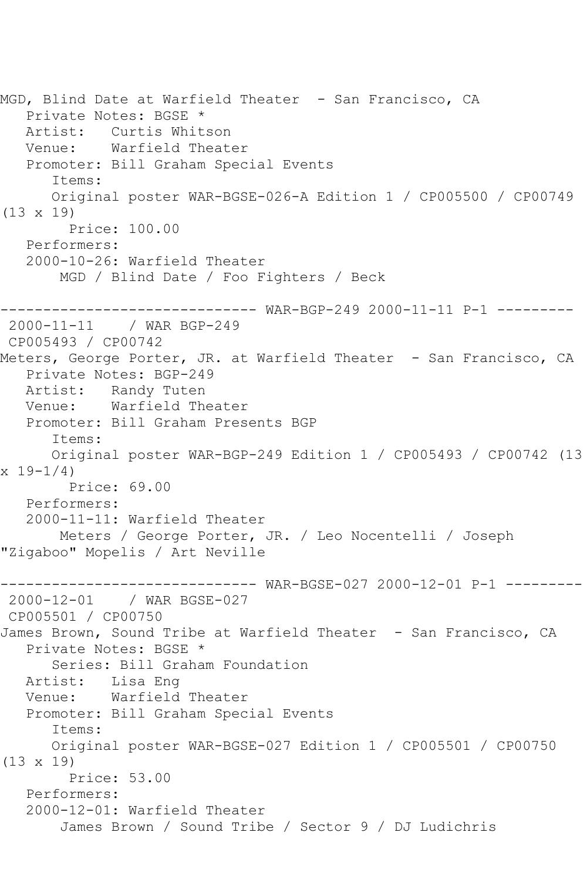MGD, Blind Date at Warfield Theater - San Francisco, CA Private Notes: BGSE \* Artist: Curtis Whitson Venue: Warfield Theater Promoter: Bill Graham Special Events Items: Original poster WAR-BGSE-026-A Edition 1 / CP005500 / CP00749 (13 x 19) Price: 100.00 Performers: 2000-10-26: Warfield Theater MGD / Blind Date / Foo Fighters / Beck ------------------------------ WAR-BGP-249 2000-11-11 P-1 --------- / WAR BGP-249 CP005493 / CP00742 Meters, George Porter, JR. at Warfield Theater - San Francisco, CA Private Notes: BGP-249 Artist: Randy Tuten Venue: Warfield Theater Promoter: Bill Graham Presents BGP Items: Original poster WAR-BGP-249 Edition 1 / CP005493 / CP00742 (13 x 19-1/4) Price: 69.00 Performers: 2000-11-11: Warfield Theater Meters / George Porter, JR. / Leo Nocentelli / Joseph "Zigaboo" Mopelis / Art Neville ------------------------------ WAR-BGSE-027 2000-12-01 P-1 --------- 2000-12-01 / WAR BGSE-027 CP005501 / CP00750 James Brown, Sound Tribe at Warfield Theater - San Francisco, CA Private Notes: BGSE \* Series: Bill Graham Foundation Artist: Lisa Eng Venue: Warfield Theater Promoter: Bill Graham Special Events Items: Original poster WAR-BGSE-027 Edition 1 / CP005501 / CP00750 (13 x 19) Price: 53.00 Performers: 2000-12-01: Warfield Theater James Brown / Sound Tribe / Sector 9 / DJ Ludichris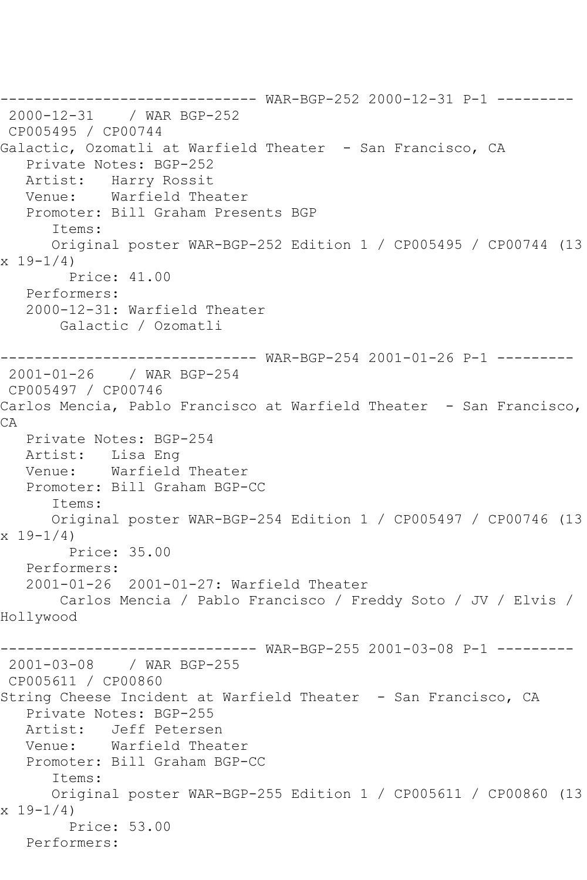------------------------------ WAR-BGP-252 2000-12-31 P-1 --------- 2000-12-31 / WAR BGP-252 CP005495 / CP00744 Galactic, Ozomatli at Warfield Theater - San Francisco, CA Private Notes: BGP-252 Artist: Harry Rossit Venue: Warfield Theater Promoter: Bill Graham Presents BGP Items: Original poster WAR-BGP-252 Edition 1 / CP005495 / CP00744 (13  $x 19 - 1/4$  Price: 41.00 Performers: 2000-12-31: Warfield Theater Galactic / Ozomatli ------------------------------ WAR-BGP-254 2001-01-26 P-1 --------- 2001-01-26 / WAR BGP-254 CP005497 / CP00746 Carlos Mencia, Pablo Francisco at Warfield Theater - San Francisco, CA Private Notes: BGP-254 Artist: Lisa Eng Venue: Warfield Theater Promoter: Bill Graham BGP-CC Items: Original poster WAR-BGP-254 Edition 1 / CP005497 / CP00746 (13 x 19-1/4) Price: 35.00 Performers: 2001-01-26 2001-01-27: Warfield Theater Carlos Mencia / Pablo Francisco / Freddy Soto / JV / Elvis / Hollywood ------------------------------ WAR-BGP-255 2001-03-08 P-1 --------- 2001-03-08 / WAR BGP-255 CP005611 / CP00860 String Cheese Incident at Warfield Theater - San Francisco, CA Private Notes: BGP-255 Artist: Jeff Petersen Venue: Warfield Theater Promoter: Bill Graham BGP-CC Items: Original poster WAR-BGP-255 Edition 1 / CP005611 / CP00860 (13 x 19-1/4) Price: 53.00 Performers: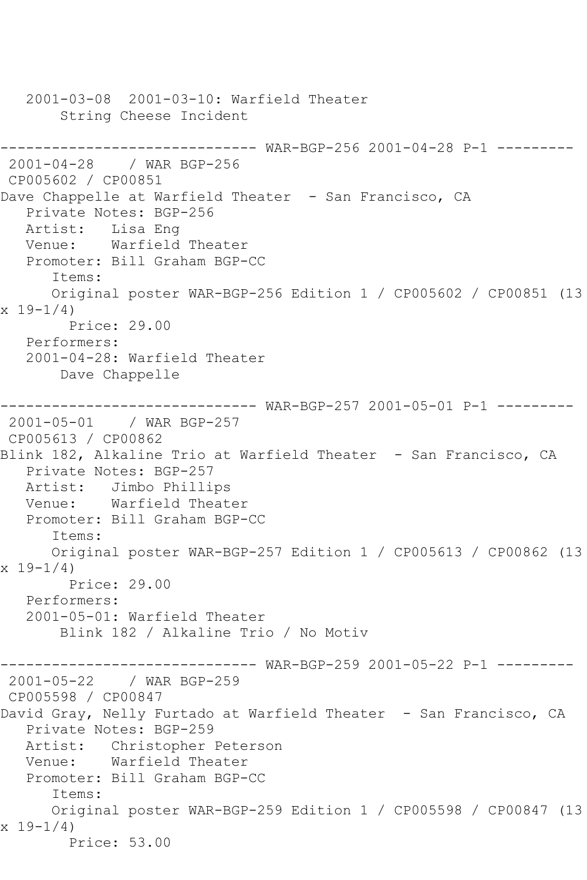2001-03-08 2001-03-10: Warfield Theater String Cheese Incident ------------------------------ WAR-BGP-256 2001-04-28 P-1 --------- 2001-04-28 / WAR BGP-256 CP005602 / CP00851 Dave Chappelle at Warfield Theater - San Francisco, CA Private Notes: BGP-256 Artist: Lisa Eng Venue: Warfield Theater Promoter: Bill Graham BGP-CC Items: Original poster WAR-BGP-256 Edition 1 / CP005602 / CP00851 (13  $x 19 - 1/4$  Price: 29.00 Performers: 2001-04-28: Warfield Theater Dave Chappelle ------------------------------ WAR-BGP-257 2001-05-01 P-1 --------- 2001-05-01 / WAR BGP-257 CP005613 / CP00862 Blink 182, Alkaline Trio at Warfield Theater - San Francisco, CA Private Notes: BGP-257 Artist: Jimbo Phillips<br>Venue: Warfield Theat Warfield Theater Promoter: Bill Graham BGP-CC Items: Original poster WAR-BGP-257 Edition 1 / CP005613 / CP00862 (13  $x 19-1/4$  Price: 29.00 Performers: 2001-05-01: Warfield Theater Blink 182 / Alkaline Trio / No Motiv ------------------------------ WAR-BGP-259 2001-05-22 P-1 --------- 2001-05-22 / WAR BGP-259 CP005598 / CP00847 David Gray, Nelly Furtado at Warfield Theater - San Francisco, CA Private Notes: BGP-259 Artist: Christopher Peterson Venue: Warfield Theater Promoter: Bill Graham BGP-CC Items: Original poster WAR-BGP-259 Edition 1 / CP005598 / CP00847 (13 x 19-1/4) Price: 53.00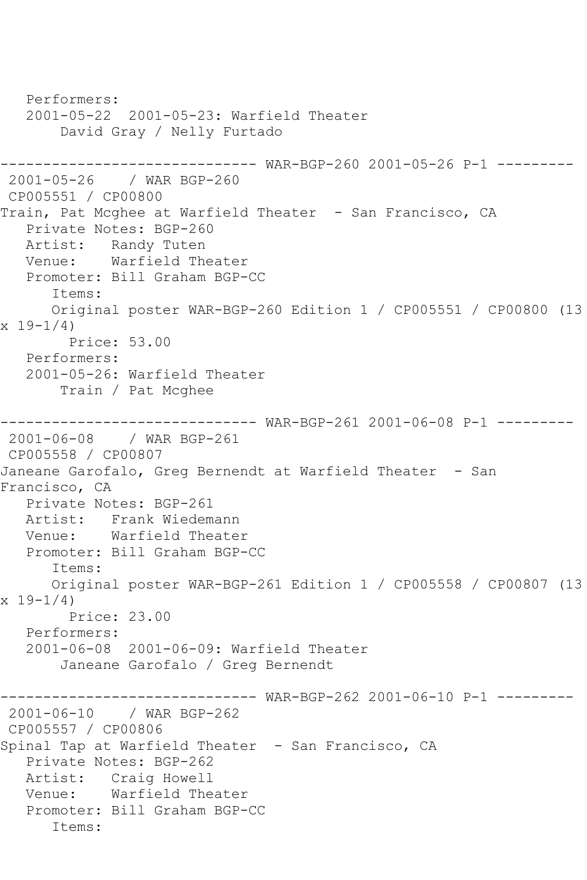Performers: 2001-05-22 2001-05-23: Warfield Theater David Gray / Nelly Furtado ------------------------------ WAR-BGP-260 2001-05-26 P-1 --------- 2001-05-26 / WAR BGP-260 CP005551 / CP00800 Train, Pat Mcghee at Warfield Theater - San Francisco, CA Private Notes: BGP-260 Artist: Randy Tuten Venue: Warfield Theater Promoter: Bill Graham BGP-CC Items: Original poster WAR-BGP-260 Edition 1 / CP005551 / CP00800 (13 x 19-1/4) Price: 53.00 Performers: 2001-05-26: Warfield Theater Train / Pat Mcghee ------------------------------ WAR-BGP-261 2001-06-08 P-1 --------- 2001-06-08 / WAR BGP-261 CP005558 / CP00807 Janeane Garofalo, Greg Bernendt at Warfield Theater - San Francisco, CA Private Notes: BGP-261 Artist: Frank Wiedemann Venue: Warfield Theater Promoter: Bill Graham BGP-CC Items: Original poster WAR-BGP-261 Edition 1 / CP005558 / CP00807 (13 x 19-1/4) Price: 23.00 Performers: 2001-06-08 2001-06-09: Warfield Theater Janeane Garofalo / Greg Bernendt ------------------------------ WAR-BGP-262 2001-06-10 P-1 --------- 2001-06-10 / WAR BGP-262 CP005557 / CP00806 Spinal Tap at Warfield Theater - San Francisco, CA Private Notes: BGP-262 Artist: Craig Howell Venue: Warfield Theater Promoter: Bill Graham BGP-CC Items: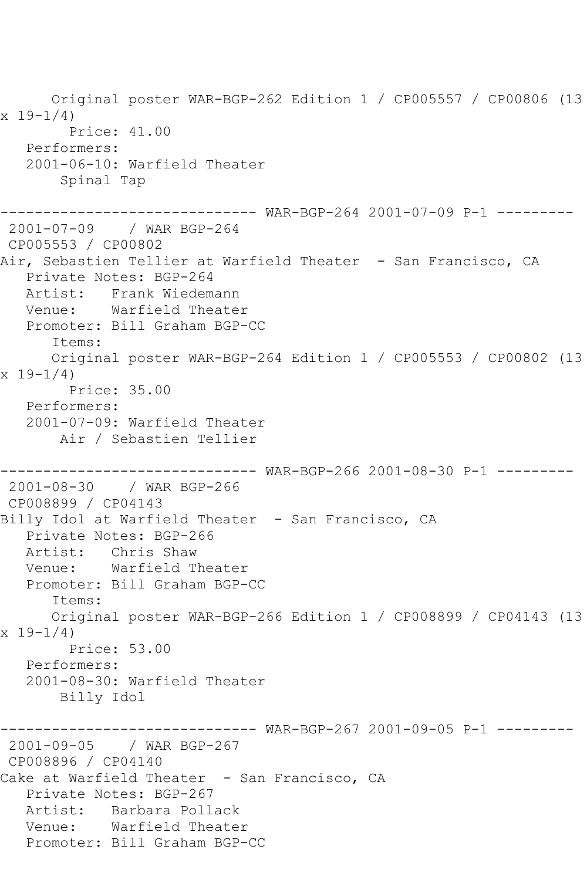Original poster WAR-BGP-262 Edition 1 / CP005557 / CP00806 (13  $x 19 - 1/4$  Price: 41.00 Performers: 2001-06-10: Warfield Theater Spinal Tap ------------------------------ WAR-BGP-264 2001-07-09 P-1 --------- 2001-07-09 / WAR BGP-264 CP005553 / CP00802 Air, Sebastien Tellier at Warfield Theater - San Francisco, CA Private Notes: BGP-264 Artist: Frank Wiedemann Venue: Warfield Theater Promoter: Bill Graham BGP-CC Items: Original poster WAR-BGP-264 Edition 1 / CP005553 / CP00802 (13 x 19-1/4) Price: 35.00 Performers: 2001-07-09: Warfield Theater Air / Sebastien Tellier ------------------------------ WAR-BGP-266 2001-08-30 P-1 --------- 2001-08-30 / WAR BGP-266 CP008899 / CP04143 Billy Idol at Warfield Theater - San Francisco, CA Private Notes: BGP-266 Artist: Chris Shaw Venue: Warfield Theater Promoter: Bill Graham BGP-CC Items: Original poster WAR-BGP-266 Edition 1 / CP008899 / CP04143 (13  $x 19-1/4$  Price: 53.00 Performers: 2001-08-30: Warfield Theater Billy Idol ------------------------------ WAR-BGP-267 2001-09-05 P-1 --------- 2001-09-05 / WAR BGP-267 CP008896 / CP04140 Cake at Warfield Theater - San Francisco, CA Private Notes: BGP-267 Artist: Barbara Pollack Venue: Warfield Theater Promoter: Bill Graham BGP-CC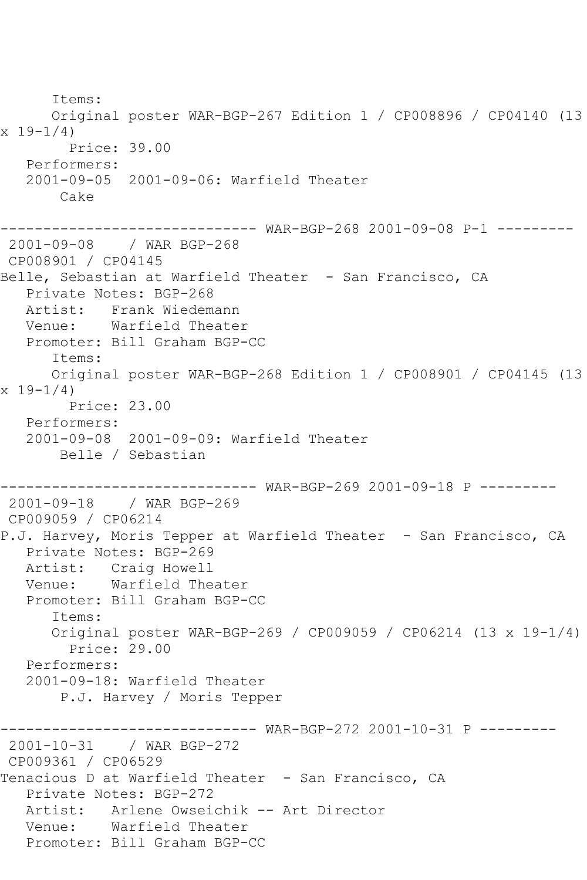Items: Original poster WAR-BGP-267 Edition 1 / CP008896 / CP04140 (13 x 19-1/4) Price: 39.00 Performers: 2001-09-05 2001-09-06: Warfield Theater Cake ------------------------------ WAR-BGP-268 2001-09-08 P-1 --------- 2001-09-08 / WAR BGP-268 CP008901 / CP04145 Belle, Sebastian at Warfield Theater - San Francisco, CA Private Notes: BGP-268 Artist: Frank Wiedemann Venue: Warfield Theater Promoter: Bill Graham BGP-CC Items: Original poster WAR-BGP-268 Edition 1 / CP008901 / CP04145 (13  $x 19-1/4$  Price: 23.00 Performers: 2001-09-08 2001-09-09: Warfield Theater Belle / Sebastian ------------------------------ WAR-BGP-269 2001-09-18 P --------- 2001-09-18 / WAR BGP-269 CP009059 / CP06214 P.J. Harvey, Moris Tepper at Warfield Theater - San Francisco, CA Private Notes: BGP-269 Artist: Craig Howell Venue: Warfield Theater Promoter: Bill Graham BGP-CC Items: Original poster WAR-BGP-269 / CP009059 / CP06214 (13 x 19-1/4) Price: 29.00 Performers: 2001-09-18: Warfield Theater P.J. Harvey / Moris Tepper ------------------------------ WAR-BGP-272 2001-10-31 P --------- 2001-10-31 / WAR BGP-272 CP009361 / CP06529 Tenacious D at Warfield Theater - San Francisco, CA Private Notes: BGP-272 Artist: Arlene Owseichik -- Art Director Venue: Warfield Theater Promoter: Bill Graham BGP-CC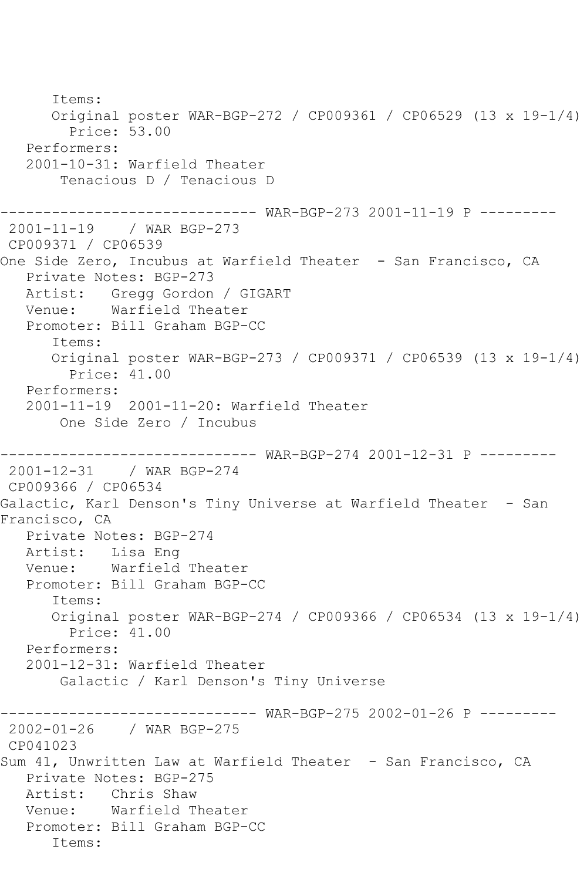Items: Original poster WAR-BGP-272 / CP009361 / CP06529 (13 x 19-1/4) Price: 53.00 Performers: 2001-10-31: Warfield Theater Tenacious D / Tenacious D ------------------------------ WAR-BGP-273 2001-11-19 P --------- 2001-11-19 / WAR BGP-273 CP009371 / CP06539 One Side Zero, Incubus at Warfield Theater - San Francisco, CA Private Notes: BGP-273 Artist: Gregg Gordon / GIGART Venue: Warfield Theater Promoter: Bill Graham BGP-CC Items: Original poster WAR-BGP-273 / CP009371 / CP06539 (13 x 19-1/4) Price: 41.00 Performers: 2001-11-19 2001-11-20: Warfield Theater One Side Zero / Incubus ------------------------------ WAR-BGP-274 2001-12-31 P --------- 2001-12-31 / WAR BGP-274 CP009366 / CP06534 Galactic, Karl Denson's Tiny Universe at Warfield Theater - San Francisco, CA Private Notes: BGP-274 Artist: Lisa Eng Venue: Warfield Theater Promoter: Bill Graham BGP-CC Items: Original poster WAR-BGP-274 / CP009366 / CP06534 (13 x 19-1/4) Price: 41.00 Performers: 2001-12-31: Warfield Theater Galactic / Karl Denson's Tiny Universe ------------------------------ WAR-BGP-275 2002-01-26 P --------- 2002-01-26 / WAR BGP-275 CP041023 Sum 41, Unwritten Law at Warfield Theater - San Francisco, CA Private Notes: BGP-275 Artist: Chris Shaw Venue: Warfield Theater Promoter: Bill Graham BGP-CC Items: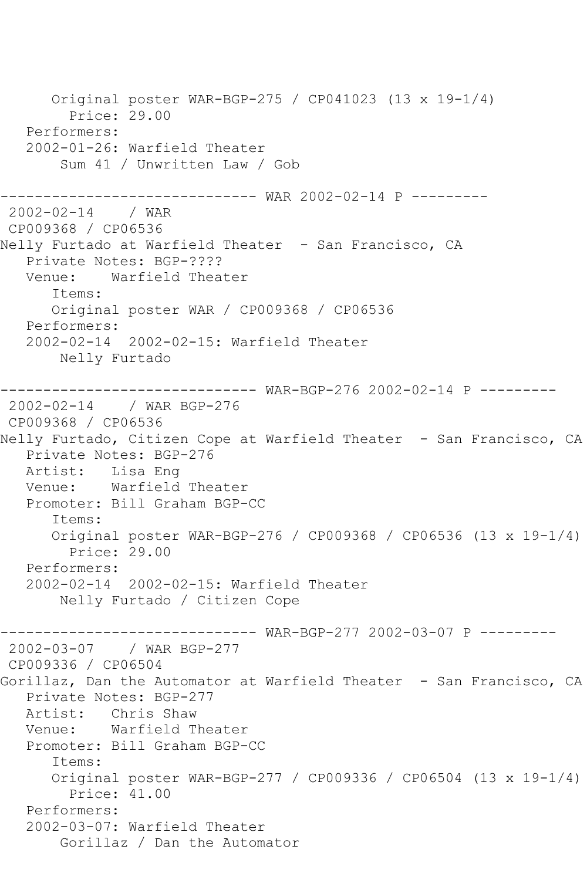Original poster WAR-BGP-275 / CP041023 (13 x 19-1/4) Price: 29.00 Performers: 2002-01-26: Warfield Theater Sum 41 / Unwritten Law / Gob ------------------------------ WAR 2002-02-14 P --------- 2002-02-14 / WAR CP009368 / CP06536 Nelly Furtado at Warfield Theater - San Francisco, CA Private Notes: BGP-???? Venue: Warfield Theater Items: Original poster WAR / CP009368 / CP06536 Performers: 2002-02-14 2002-02-15: Warfield Theater Nelly Furtado ------------------------------ WAR-BGP-276 2002-02-14 P --------- 2002-02-14 / WAR BGP-276 CP009368 / CP06536 Nelly Furtado, Citizen Cope at Warfield Theater - San Francisco, CA Private Notes: BGP-276 Artist: Lisa Eng Venue: Warfield Theater Promoter: Bill Graham BGP-CC Items: Original poster WAR-BGP-276 / CP009368 / CP06536 (13 x 19-1/4) Price: 29.00 Performers: 2002-02-14 2002-02-15: Warfield Theater Nelly Furtado / Citizen Cope ------------------------------ WAR-BGP-277 2002-03-07 P --------- 2002-03-07 / WAR BGP-277 CP009336 / CP06504 Gorillaz, Dan the Automator at Warfield Theater - San Francisco, CA Private Notes: BGP-277 Artist: Chris Shaw<br>Venue: Warfield T Warfield Theater Promoter: Bill Graham BGP-CC Items: Original poster WAR-BGP-277 / CP009336 / CP06504 (13 x 19-1/4) Price: 41.00 Performers: 2002-03-07: Warfield Theater Gorillaz / Dan the Automator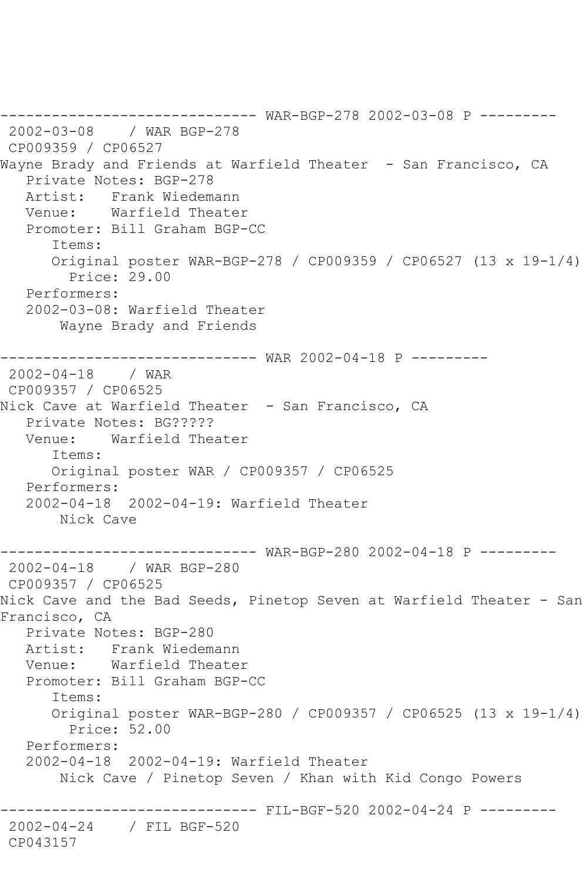------------------------------ WAR-BGP-278 2002-03-08 P --------- 2002-03-08 / WAR BGP-278 CP009359 / CP06527 Wayne Brady and Friends at Warfield Theater - San Francisco, CA Private Notes: BGP-278 Artist: Frank Wiedemann Venue: Warfield Theater Promoter: Bill Graham BGP-CC Items: Original poster WAR-BGP-278 / CP009359 / CP06527 (13 x 19-1/4) Price: 29.00 Performers: 2002-03-08: Warfield Theater Wayne Brady and Friends ------------------------------ WAR 2002-04-18 P ---------  $2002 - 04 - 18$ CP009357 / CP06525 Nick Cave at Warfield Theater - San Francisco, CA Private Notes: BG????? Venue: Warfield Theater Items: Original poster WAR / CP009357 / CP06525 Performers: 2002-04-18 2002-04-19: Warfield Theater Nick Cave ------- WAR-BGP-280 2002-04-18 P ---------2002-04-18 / WAR BGP-280 CP009357 / CP06525 Nick Cave and the Bad Seeds, Pinetop Seven at Warfield Theater - San Francisco, CA Private Notes: BGP-280 Artist: Frank Wiedemann Venue: Warfield Theater Promoter: Bill Graham BGP-CC Items: Original poster WAR-BGP-280 / CP009357 / CP06525 (13 x 19-1/4) Price: 52.00 Performers: 2002-04-18 2002-04-19: Warfield Theater Nick Cave / Pinetop Seven / Khan with Kid Congo Powers ------------------------------ FIL-BGF-520 2002-04-24 P --------- 2002-04-24 / FIL BGF-520 CP043157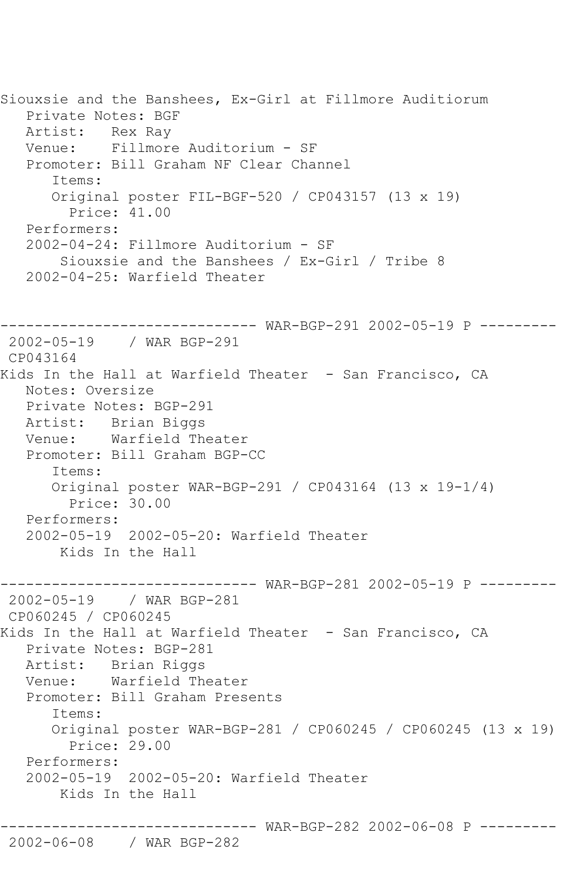Siouxsie and the Banshees, Ex-Girl at Fillmore Auditiorum Private Notes: BGF Artist: Rex Ray Venue: Fillmore Auditorium - SF Promoter: Bill Graham NF Clear Channel Items: Original poster FIL-BGF-520 / CP043157 (13 x 19) Price: 41.00 Performers: 2002-04-24: Fillmore Auditorium - SF Siouxsie and the Banshees / Ex-Girl / Tribe 8 2002-04-25: Warfield Theater ------------------------------ WAR-BGP-291 2002-05-19 P --------- 2002-05-19 / WAR BGP-291 CP043164 Kids In the Hall at Warfield Theater - San Francisco, CA Notes: Oversize Private Notes: BGP-291 Artist: Brian Biggs Venue: Warfield Theater Promoter: Bill Graham BGP-CC Items: Original poster WAR-BGP-291 / CP043164 (13 x 19-1/4) Price: 30.00 Performers: 2002-05-19 2002-05-20: Warfield Theater Kids In the Hall ------------------------------ WAR-BGP-281 2002-05-19 P --------- 2002-05-19 / WAR BGP-281 CP060245 / CP060245 Kids In the Hall at Warfield Theater - San Francisco, CA Private Notes: BGP-281 Artist: Brian Riggs Venue: Warfield Theater Promoter: Bill Graham Presents Items: Original poster WAR-BGP-281 / CP060245 / CP060245 (13 x 19) Price: 29.00 Performers: 2002-05-19 2002-05-20: Warfield Theater Kids In the Hall ------------------------------ WAR-BGP-282 2002-06-08 P ---------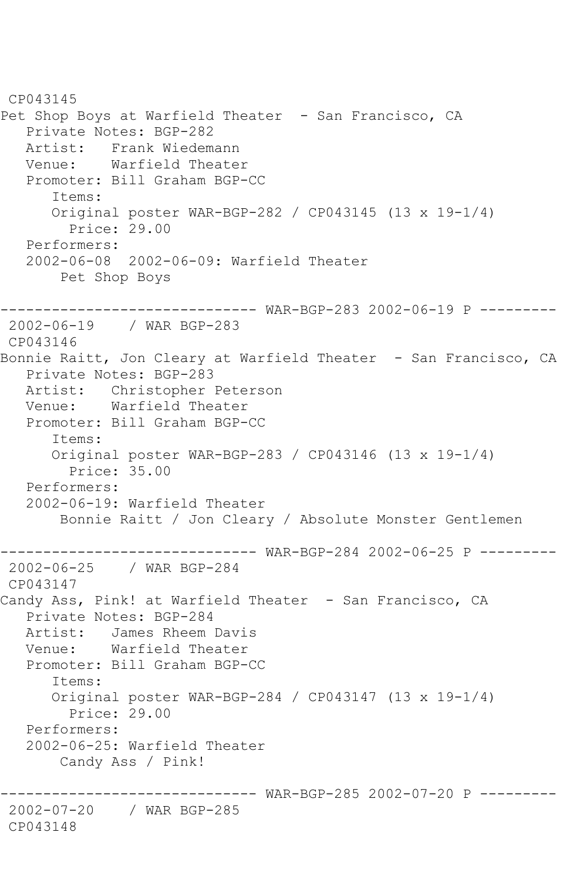CP043145 Pet Shop Boys at Warfield Theater - San Francisco, CA Private Notes: BGP-282 Artist: Frank Wiedemann<br>Venue: Warfield Theate Warfield Theater Promoter: Bill Graham BGP-CC Items: Original poster WAR-BGP-282 / CP043145 (13 x 19-1/4) Price: 29.00 Performers: 2002-06-08 2002-06-09: Warfield Theater Pet Shop Boys ------------------------------ WAR-BGP-283 2002-06-19 P --------- 2002-06-19 / WAR BGP-283 CP043146 Bonnie Raitt, Jon Cleary at Warfield Theater - San Francisco, CA Private Notes: BGP-283 Artist: Christopher Peterson Venue: Warfield Theater Promoter: Bill Graham BGP-CC Items: Original poster WAR-BGP-283 / CP043146 (13 x 19-1/4) Price: 35.00 Performers: 2002-06-19: Warfield Theater Bonnie Raitt / Jon Cleary / Absolute Monster Gentlemen ------------------------------ WAR-BGP-284 2002-06-25 P --------- 2002-06-25 / WAR BGP-284 CP043147 Candy Ass, Pink! at Warfield Theater - San Francisco, CA Private Notes: BGP-284 Artist: James Rheem Davis Venue: Warfield Theater Promoter: Bill Graham BGP-CC Items: Original poster WAR-BGP-284 / CP043147 (13 x 19-1/4) Price: 29.00 Performers: 2002-06-25: Warfield Theater Candy Ass / Pink! ------------------------------ WAR-BGP-285 2002-07-20 P --------- 2002-07-20 / WAR BGP-285 CP043148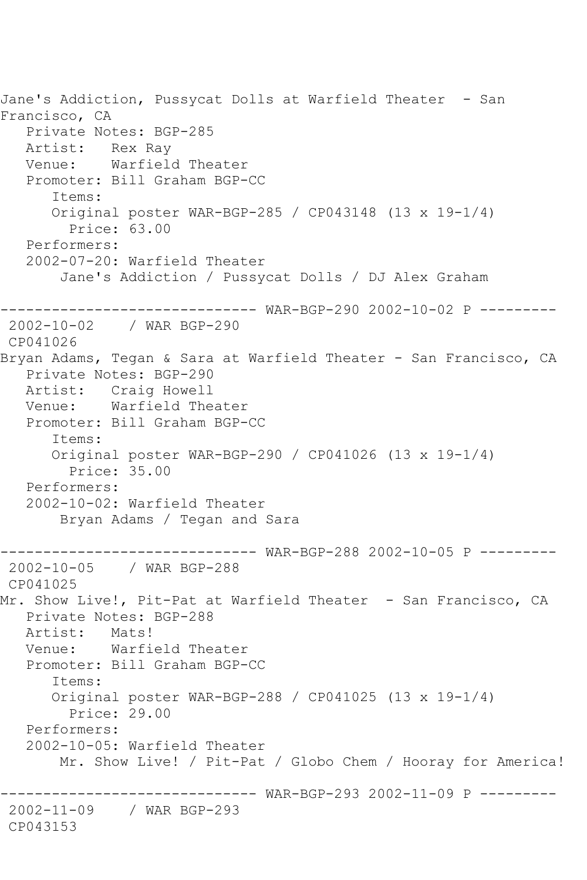Jane's Addiction, Pussycat Dolls at Warfield Theater - San Francisco, CA Private Notes: BGP-285 Artist: Rex Ray<br>Venue: Warfield Warfield Theater Promoter: Bill Graham BGP-CC Items: Original poster WAR-BGP-285 / CP043148 (13 x 19-1/4) Price: 63.00 Performers: 2002-07-20: Warfield Theater Jane's Addiction / Pussycat Dolls / DJ Alex Graham ------------------------------ WAR-BGP-290 2002-10-02 P --------- 2002-10-02 / WAR BGP-290 CP041026 Bryan Adams, Tegan & Sara at Warfield Theater - San Francisco, CA Private Notes: BGP-290 Artist: Craig Howell Venue: Warfield Theater Promoter: Bill Graham BGP-CC Items: Original poster WAR-BGP-290 / CP041026 (13 x 19-1/4) Price: 35.00 Performers: 2002-10-02: Warfield Theater Bryan Adams / Tegan and Sara ------------------------------ WAR-BGP-288 2002-10-05 P --------- 2002-10-05 / WAR BGP-288 CP041025 Mr. Show Live!, Pit-Pat at Warfield Theater - San Francisco, CA Private Notes: BGP-288 Artist: Mats! Venue: Warfield Theater Promoter: Bill Graham BGP-CC Items: Original poster WAR-BGP-288 / CP041025 (13 x 19-1/4) Price: 29.00 Performers: 2002-10-05: Warfield Theater Mr. Show Live! / Pit-Pat / Globo Chem / Hooray for America! ------------------------------ WAR-BGP-293 2002-11-09 P --------- 2002-11-09 / WAR BGP-293 CP043153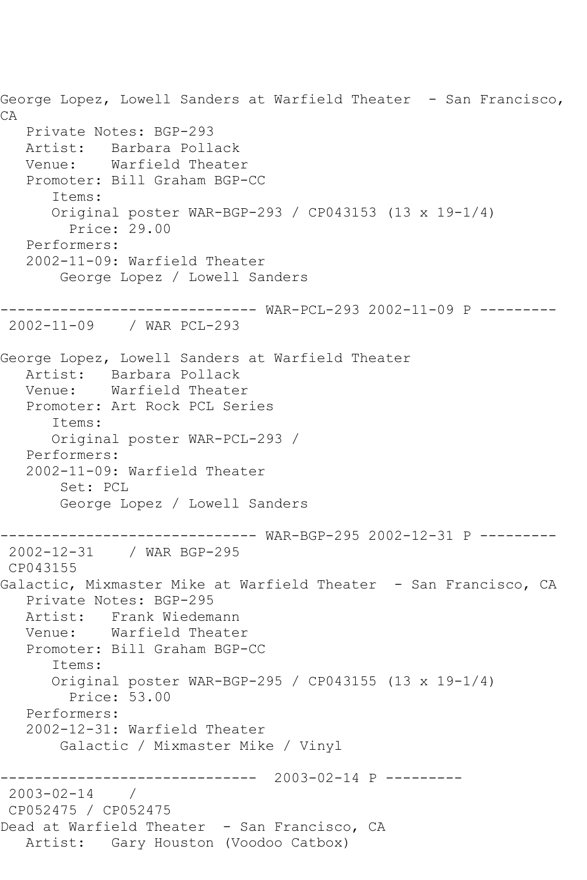George Lopez, Lowell Sanders at Warfield Theater - San Francisco, CA Private Notes: BGP-293 Artist: Barbara Pollack<br>Venue: Warfield Theate Warfield Theater Promoter: Bill Graham BGP-CC Items: Original poster WAR-BGP-293 / CP043153 (13 x 19-1/4) Price: 29.00 Performers: 2002-11-09: Warfield Theater George Lopez / Lowell Sanders ------------------------------ WAR-PCL-293 2002-11-09 P --------- 2002-11-09 / WAR PCL-293 George Lopez, Lowell Sanders at Warfield Theater Artist: Barbara Pollack<br>Venue: Warfield Theate: Warfield Theater Promoter: Art Rock PCL Series Items: Original poster WAR-PCL-293 / Performers: 2002-11-09: Warfield Theater Set: PCL George Lopez / Lowell Sanders ------------------------------ WAR-BGP-295 2002-12-31 P --------- 2002-12-31 / WAR BGP-295 CP043155 Galactic, Mixmaster Mike at Warfield Theater - San Francisco, CA Private Notes: BGP-295 Artist: Frank Wiedemann<br>Venue: Warfield Theate Warfield Theater Promoter: Bill Graham BGP-CC Items: Original poster WAR-BGP-295 / CP043155 (13 x 19-1/4) Price: 53.00 Performers: 2002-12-31: Warfield Theater Galactic / Mixmaster Mike / Vinyl ------------------------------ 2003-02-14 P ---------  $2003 - 02 - 14$ CP052475 / CP052475 Dead at Warfield Theater - San Francisco, CA Artist: Gary Houston (Voodoo Catbox)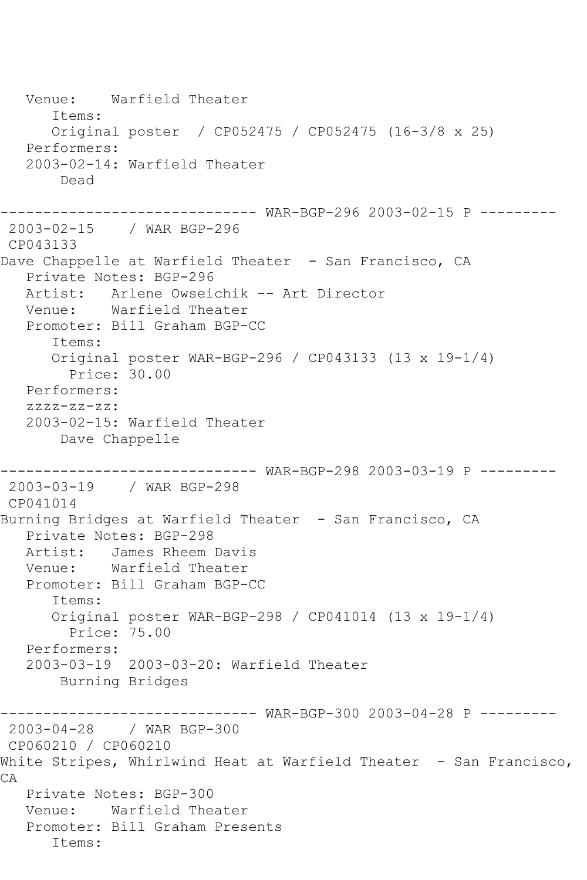Venue: Warfield Theater Items: Original poster / CP052475 / CP052475 (16-3/8 x 25) Performers: 2003-02-14: Warfield Theater Dead ------------------------------ WAR-BGP-296 2003-02-15 P --------- 2003-02-15 / WAR BGP-296 CP043133 Dave Chappelle at Warfield Theater - San Francisco, CA Private Notes: BGP-296 Artist: Arlene Owseichik -- Art Director Venue: Warfield Theater Promoter: Bill Graham BGP-CC Items: Original poster WAR-BGP-296 / CP043133 (13 x 19-1/4) Price: 30.00 Performers: zzzz-zz-zz: 2003-02-15: Warfield Theater Dave Chappelle ------------------------------ WAR-BGP-298 2003-03-19 P --------- 2003-03-19 / WAR BGP-298 CP041014 Burning Bridges at Warfield Theater - San Francisco, CA Private Notes: BGP-298 Artist: James Rheem Davis Venue: Warfield Theater Promoter: Bill Graham BGP-CC Items: Original poster WAR-BGP-298 / CP041014 (13 x 19-1/4) Price: 75.00 Performers: 2003-03-19 2003-03-20: Warfield Theater Burning Bridges ------------------------------ WAR-BGP-300 2003-04-28 P --------- 2003-04-28 / WAR BGP-300 CP060210 / CP060210 White Stripes, Whirlwind Heat at Warfield Theater - San Francisco, CA Private Notes: BGP-300 Venue: Warfield Theater Promoter: Bill Graham Presents Items: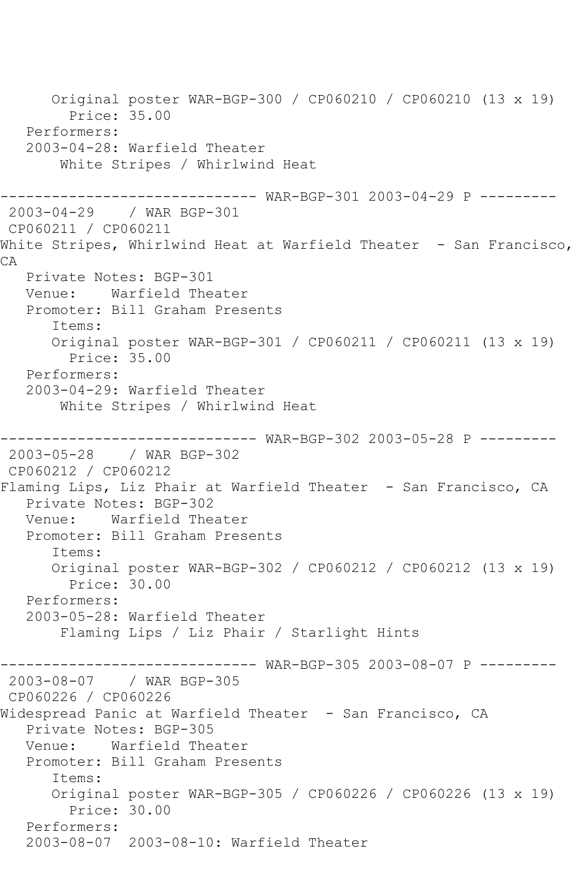Original poster WAR-BGP-300 / CP060210 / CP060210 (13 x 19) Price: 35.00 Performers: 2003-04-28: Warfield Theater White Stripes / Whirlwind Heat --------- WAR-BGP-301 2003-04-29 P ---------2003-04-29 / WAR BGP-301 CP060211 / CP060211 White Stripes, Whirlwind Heat at Warfield Theater - San Francisco, CA Private Notes: BGP-301 Venue: Warfield Theater Promoter: Bill Graham Presents Items: Original poster WAR-BGP-301 / CP060211 / CP060211 (13 x 19) Price: 35.00 Performers: 2003-04-29: Warfield Theater White Stripes / Whirlwind Heat ------ WAR-BGP-302 2003-05-28 P ---------2003-05-28 / WAR BGP-302 CP060212 / CP060212 Flaming Lips, Liz Phair at Warfield Theater - San Francisco, CA Private Notes: BGP-302 Venue: Warfield Theater Promoter: Bill Graham Presents Items: Original poster WAR-BGP-302 / CP060212 / CP060212 (13 x 19) Price: 30.00 Performers: 2003-05-28: Warfield Theater Flaming Lips / Liz Phair / Starlight Hints ------------------------------ WAR-BGP-305 2003-08-07 P --------- 2003-08-07 / WAR BGP-305 CP060226 / CP060226 Widespread Panic at Warfield Theater - San Francisco, CA Private Notes: BGP-305<br>Venue: Warfield The Warfield Theater Promoter: Bill Graham Presents Items: Original poster WAR-BGP-305 / CP060226 / CP060226 (13 x 19) Price: 30.00 Performers: 2003-08-07 2003-08-10: Warfield Theater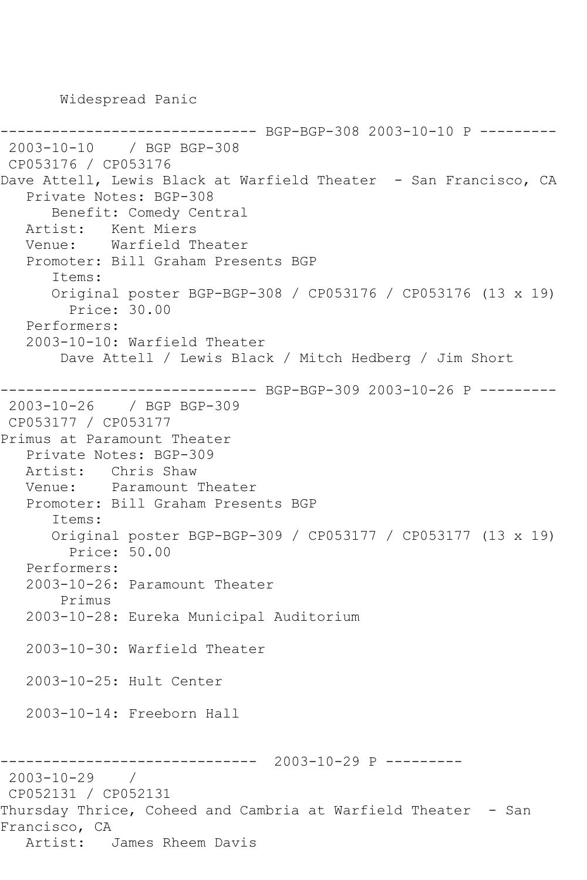Widespread Panic

---------- BGP-BGP-308 2003-10-10 P ---------2003-10-10 / BGP BGP-308 CP053176 / CP053176 Dave Attell, Lewis Black at Warfield Theater - San Francisco, CA Private Notes: BGP-308 Benefit: Comedy Central Artist: Kent Miers Venue: Warfield Theater Promoter: Bill Graham Presents BGP Items: Original poster BGP-BGP-308 / CP053176 / CP053176 (13 x 19) Price: 30.00 Performers: 2003-10-10: Warfield Theater Dave Attell / Lewis Black / Mitch Hedberg / Jim Short ------------------------------ BGP-BGP-309 2003-10-26 P --------- 2003-10-26 / BGP BGP-309 CP053177 / CP053177 Primus at Paramount Theater Private Notes: BGP-309 Artist: Chris Shaw Venue: Paramount Theater Promoter: Bill Graham Presents BGP Items: Original poster BGP-BGP-309 / CP053177 / CP053177 (13 x 19) Price: 50.00 Performers: 2003-10-26: Paramount Theater Primus 2003-10-28: Eureka Municipal Auditorium 2003-10-30: Warfield Theater 2003-10-25: Hult Center 2003-10-14: Freeborn Hall ------------------------------ 2003-10-29 P --------- 2003-10-29 / CP052131 / CP052131 Thursday Thrice, Coheed and Cambria at Warfield Theater - San Francisco, CA Artist: James Rheem Davis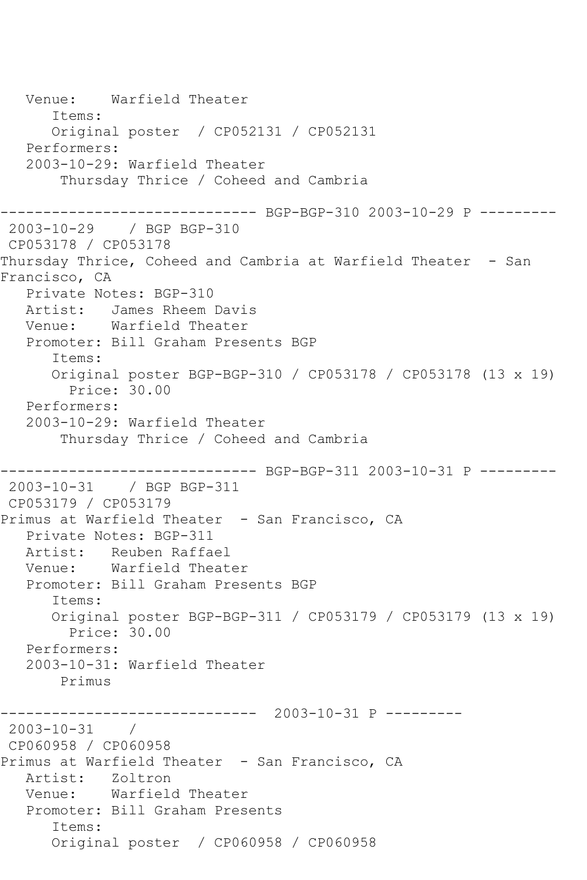Venue: Warfield Theater Items: Original poster / CP052131 / CP052131 Performers: 2003-10-29: Warfield Theater Thursday Thrice / Coheed and Cambria ------------------------------ BGP-BGP-310 2003-10-29 P --------- 2003-10-29 / BGP BGP-310 CP053178 / CP053178 Thursday Thrice, Coheed and Cambria at Warfield Theater - San Francisco, CA Private Notes: BGP-310 Artist: James Rheem Davis Venue: Warfield Theater Promoter: Bill Graham Presents BGP Items: Original poster BGP-BGP-310 / CP053178 / CP053178 (13 x 19) Price: 30.00 Performers: 2003-10-29: Warfield Theater Thursday Thrice / Coheed and Cambria ------------------------------ BGP-BGP-311 2003-10-31 P --------- 2003-10-31 / BGP BGP-311 CP053179 / CP053179 Primus at Warfield Theater - San Francisco, CA Private Notes: BGP-311 Artist: Reuben Raffael Venue: Warfield Theater Promoter: Bill Graham Presents BGP Items: Original poster BGP-BGP-311 / CP053179 / CP053179 (13 x 19) Price: 30.00 Performers: 2003-10-31: Warfield Theater Primus ------------------------------ 2003-10-31 P ---------  $2003 - 10 - 31$  / CP060958 / CP060958 Primus at Warfield Theater - San Francisco, CA<br>Artist: Zoltron Zoltron Venue: Warfield Theater Promoter: Bill Graham Presents Items: Original poster / CP060958 / CP060958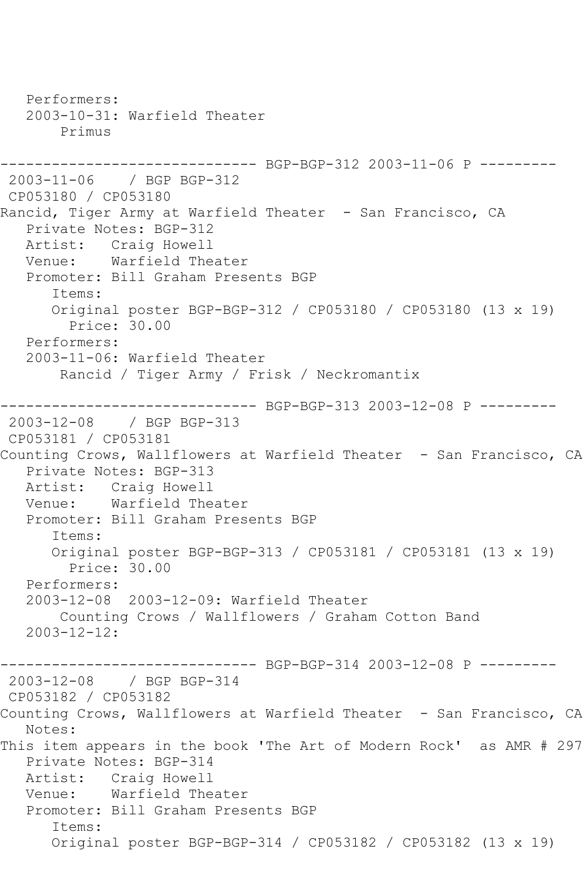Performers: 2003-10-31: Warfield Theater Primus ------------------------------ BGP-BGP-312 2003-11-06 P --------- 2003-11-06 / BGP BGP-312 CP053180 / CP053180 Rancid, Tiger Army at Warfield Theater - San Francisco, CA Private Notes: BGP-312 Artist: Craig Howell Venue: Warfield Theater Promoter: Bill Graham Presents BGP Items: Original poster BGP-BGP-312 / CP053180 / CP053180 (13 x 19) Price: 30.00 Performers: 2003-11-06: Warfield Theater Rancid / Tiger Army / Frisk / Neckromantix ------------------------------ BGP-BGP-313 2003-12-08 P --------- 2003-12-08 / BGP BGP-313 CP053181 / CP053181 Counting Crows, Wallflowers at Warfield Theater - San Francisco, CA Private Notes: BGP-313 Artist: Craig Howell<br>Venue: Warfield The Warfield Theater Promoter: Bill Graham Presents BGP Items: Original poster BGP-BGP-313 / CP053181 / CP053181 (13 x 19) Price: 30.00 Performers: 2003-12-08 2003-12-09: Warfield Theater Counting Crows / Wallflowers / Graham Cotton Band 2003-12-12: ------------------------------ BGP-BGP-314 2003-12-08 P --------- 2003-12-08 / BGP BGP-314 CP053182 / CP053182 Counting Crows, Wallflowers at Warfield Theater - San Francisco, CA Notes: This item appears in the book 'The Art of Modern Rock' as AMR # 297 Private Notes: BGP-314 Artist: Craig Howell Venue: Warfield Theater Promoter: Bill Graham Presents BGP Items: Original poster BGP-BGP-314 / CP053182 / CP053182 (13 x 19)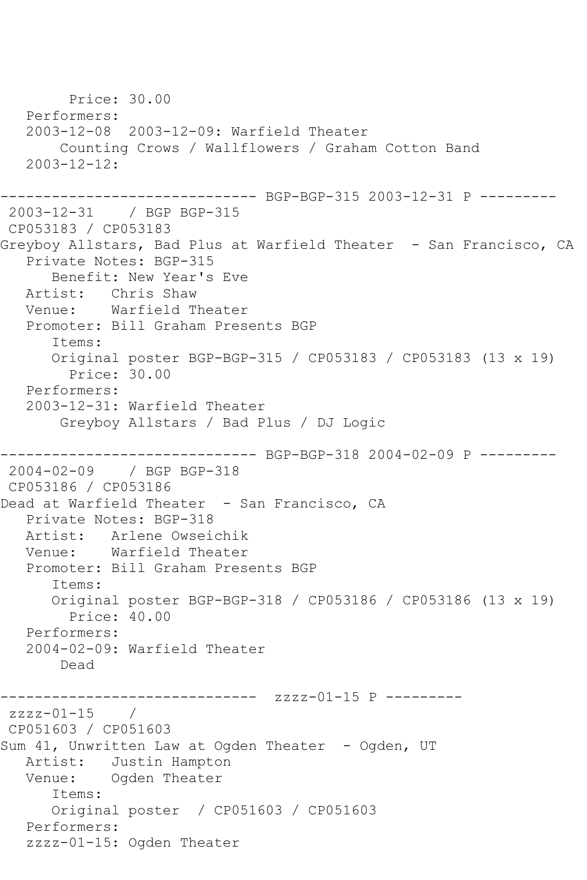Price: 30.00 Performers: 2003-12-08 2003-12-09: Warfield Theater Counting Crows / Wallflowers / Graham Cotton Band  $2003 - 12 - 12 \cdot$ ------------------------------ BGP-BGP-315 2003-12-31 P --------- 2003-12-31 / BGP BGP-315 CP053183 / CP053183 Greyboy Allstars, Bad Plus at Warfield Theater - San Francisco, CA Private Notes: BGP-315 Benefit: New Year's Eve Artist: Chris Shaw Venue: Warfield Theater Promoter: Bill Graham Presents BGP Items: Original poster BGP-BGP-315 / CP053183 / CP053183 (13 x 19) Price: 30.00 Performers: 2003-12-31: Warfield Theater Greyboy Allstars / Bad Plus / DJ Logic ------------------------------ BGP-BGP-318 2004-02-09 P --------- 2004-02-09 / BGP BGP-318 CP053186 / CP053186 Dead at Warfield Theater - San Francisco, CA Private Notes: BGP-318 Artist: Arlene Owseichik Venue: Warfield Theater Promoter: Bill Graham Presents BGP Items: Original poster BGP-BGP-318 / CP053186 / CP053186 (13 x 19) Price: 40.00 Performers: 2004-02-09: Warfield Theater Dead ------------ zzzz-01-15 P --------zzzz-01-15 / CP051603 / CP051603 Sum 41, Unwritten Law at Ogden Theater - Ogden, UT Artist: Justin Hampton Venue: Ogden Theater Items: Original poster / CP051603 / CP051603 Performers: zzzz-01-15: Ogden Theater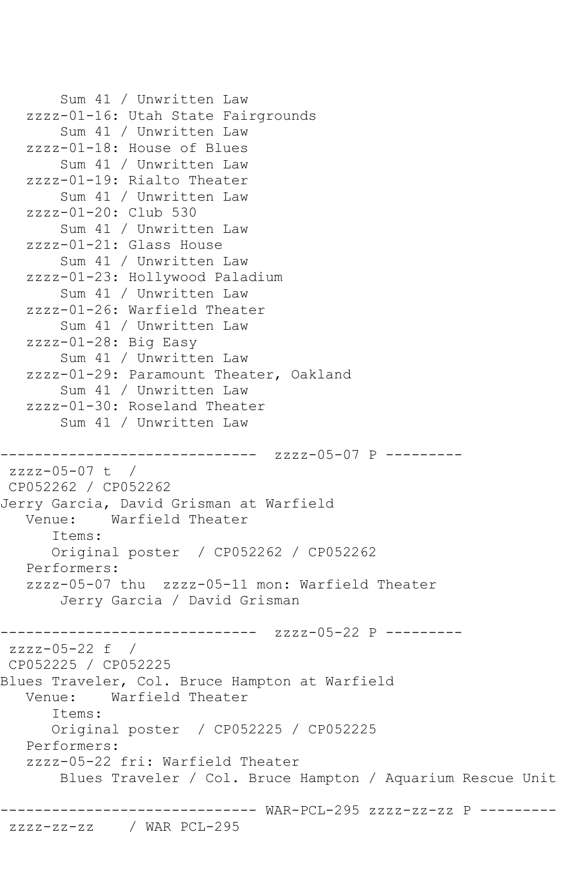```
 Sum 41 / Unwritten Law
    zzzz-01-16: Utah State Fairgrounds
        Sum 41 / Unwritten Law
    zzzz-01-18: House of Blues
        Sum 41 / Unwritten Law
    zzzz-01-19: Rialto Theater
        Sum 41 / Unwritten Law
    zzzz-01-20: Club 530
        Sum 41 / Unwritten Law
    zzzz-01-21: Glass House
        Sum 41 / Unwritten Law
    zzzz-01-23: Hollywood Paladium
        Sum 41 / Unwritten Law
    zzzz-01-26: Warfield Theater
        Sum 41 / Unwritten Law
    zzzz-01-28: Big Easy
        Sum 41 / Unwritten Law
    zzzz-01-29: Paramount Theater, Oakland
        Sum 41 / Unwritten Law
    zzzz-01-30: Roseland Theater
        Sum 41 / Unwritten Law
               ------------------------------ zzzz-05-07 P ---------
zzzz-05-07 t / 
CP052262 / CP052262
Jerry Garcia, David Grisman at Warfield
            Warfield Theater
       Items:
       Original poster / CP052262 / CP052262
   Performers:
    zzzz-05-07 thu zzzz-05-11 mon: Warfield Theater
        Jerry Garcia / David Grisman
------------------------------ zzzz-05-22 P ---------
zzzz-05-22 f / 
CP052225 / CP052225
Blues Traveler, Col. Bruce Hampton at Warfield
   Venue: Warfield Theater
       Items:
       Original poster / CP052225 / CP052225
    Performers:
    zzzz-05-22 fri: Warfield Theater
        Blues Traveler / Col. Bruce Hampton / Aquarium Rescue Unit
                ------------------------------ WAR-PCL-295 zzzz-zz-zz P ---------
zzzz-zz-zz / WAR PCL-295
```